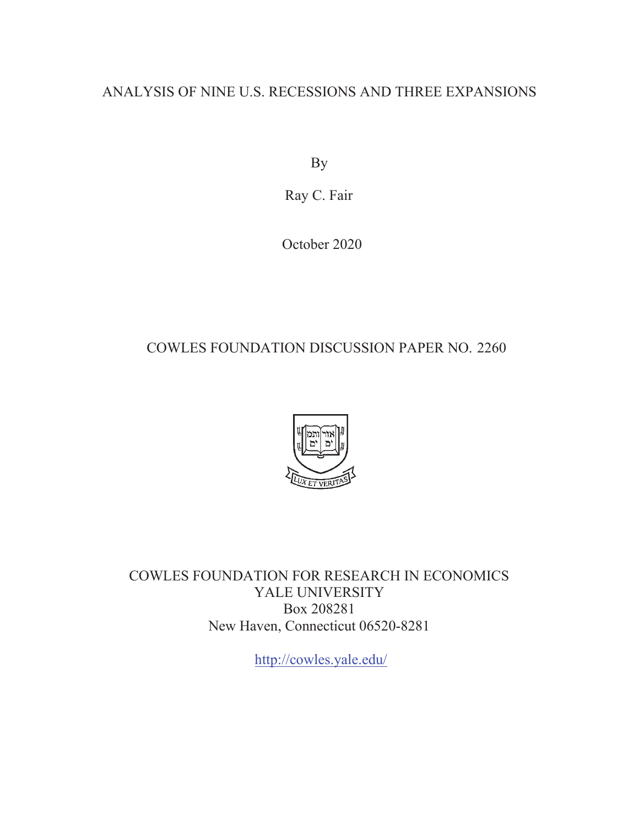### ANALYSIS OF NINE U.S. RECESSIONS AND THREE EXPANSIONS

By

Ray C. Fair

October 2020

## COWLES FOUNDATION DISCUSSION PAPER NO. 2260



COWLES FOUNDATION FOR RESEARCH IN ECONOMICS YALE UNIVERSITY Box 208281 New Haven, Connecticut 06520-8281

<http://cowles.yale.edu>/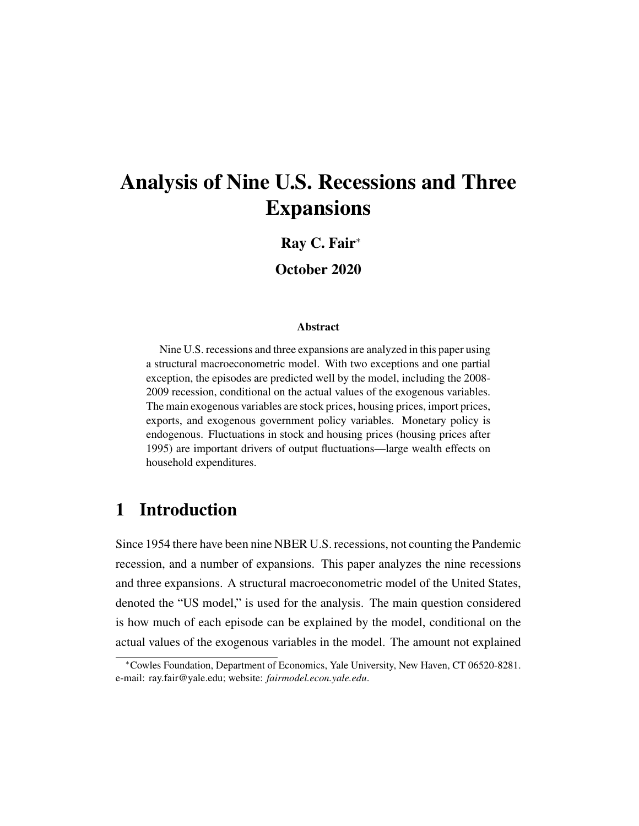# Analysis of Nine U.S. Recessions and Three Expansions

### Ray C. Fair<sup>∗</sup>

#### October 2020

#### Abstract

Nine U.S. recessions and three expansions are analyzed in this paper using a structural macroeconometric model. With two exceptions and one partial exception, the episodes are predicted well by the model, including the 2008- 2009 recession, conditional on the actual values of the exogenous variables. The main exogenous variables are stock prices, housing prices, import prices, exports, and exogenous government policy variables. Monetary policy is endogenous. Fluctuations in stock and housing prices (housing prices after 1995) are important drivers of output fluctuations—large wealth effects on household expenditures.

### 1 Introduction

Since 1954 there have been nine NBER U.S. recessions, not counting the Pandemic recession, and a number of expansions. This paper analyzes the nine recessions and three expansions. A structural macroeconometric model of the United States, denoted the "US model," is used for the analysis. The main question considered is how much of each episode can be explained by the model, conditional on the actual values of the exogenous variables in the model. The amount not explained

<sup>∗</sup>Cowles Foundation, Department of Economics, Yale University, New Haven, CT 06520-8281. e-mail: ray.fair@yale.edu; website: *fairmodel.econ.yale.edu*.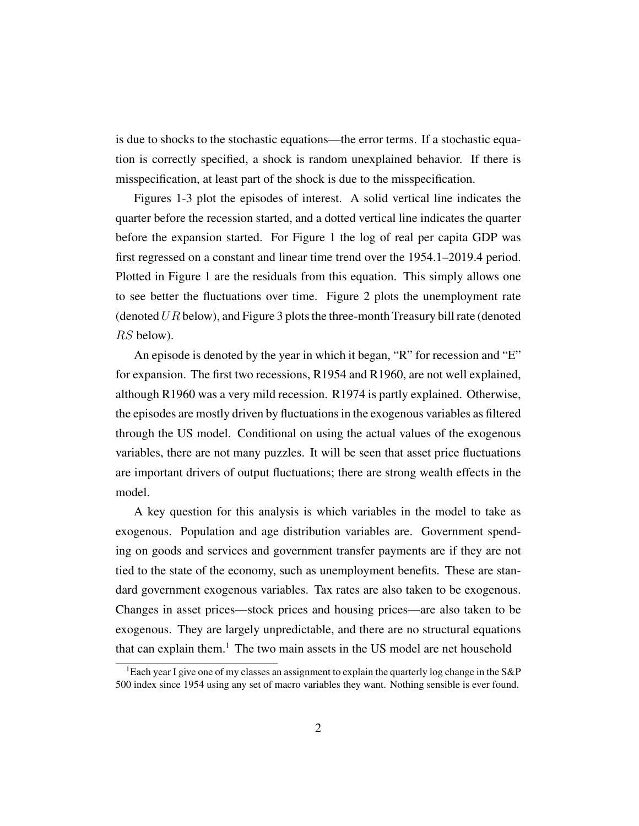is due to shocks to the stochastic equations—the error terms. If a stochastic equation is correctly specified, a shock is random unexplained behavior. If there is misspecification, at least part of the shock is due to the misspecification.

Figures 1-3 plot the episodes of interest. A solid vertical line indicates the quarter before the recession started, and a dotted vertical line indicates the quarter before the expansion started. For Figure 1 the log of real per capita GDP was first regressed on a constant and linear time trend over the 1954.1–2019.4 period. Plotted in Figure 1 are the residuals from this equation. This simply allows one to see better the fluctuations over time. Figure 2 plots the unemployment rate (denoted  $UR$  below), and Figure 3 plots the three-month Treasury bill rate (denoted RS below).

An episode is denoted by the year in which it began, "R" for recession and "E" for expansion. The first two recessions, R1954 and R1960, are not well explained, although R1960 was a very mild recession. R1974 is partly explained. Otherwise, the episodes are mostly driven by fluctuations in the exogenous variables as filtered through the US model. Conditional on using the actual values of the exogenous variables, there are not many puzzles. It will be seen that asset price fluctuations are important drivers of output fluctuations; there are strong wealth effects in the model.

A key question for this analysis is which variables in the model to take as exogenous. Population and age distribution variables are. Government spending on goods and services and government transfer payments are if they are not tied to the state of the economy, such as unemployment benefits. These are standard government exogenous variables. Tax rates are also taken to be exogenous. Changes in asset prices—stock prices and housing prices—are also taken to be exogenous. They are largely unpredictable, and there are no structural equations that can explain them.<sup>1</sup> The two main assets in the US model are net household

<sup>&</sup>lt;sup>1</sup>Each year I give one of my classes an assignment to explain the quarterly log change in the  $S\&P$ 500 index since 1954 using any set of macro variables they want. Nothing sensible is ever found.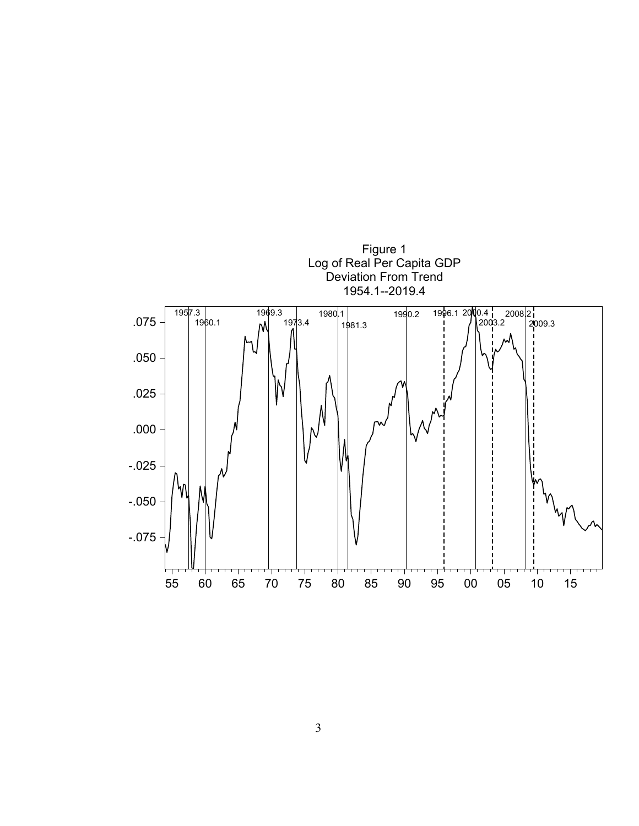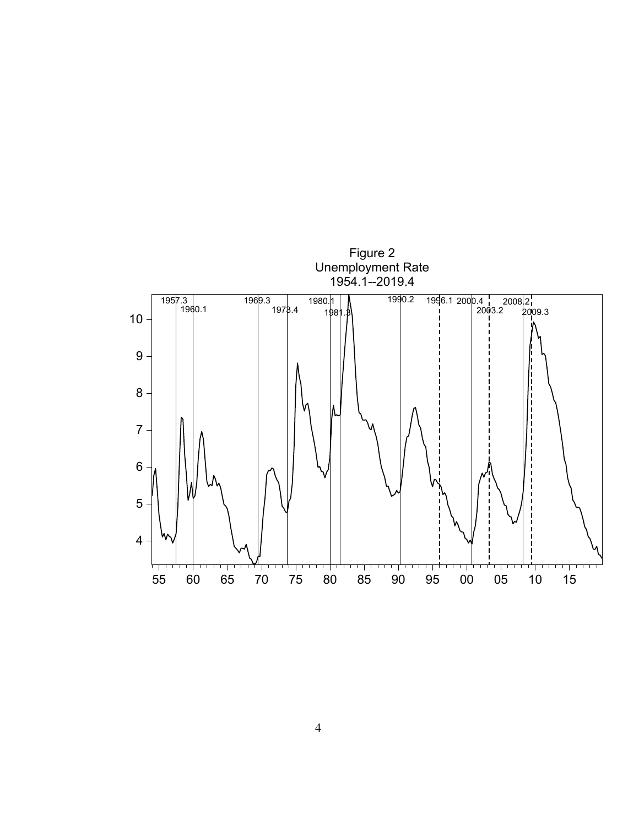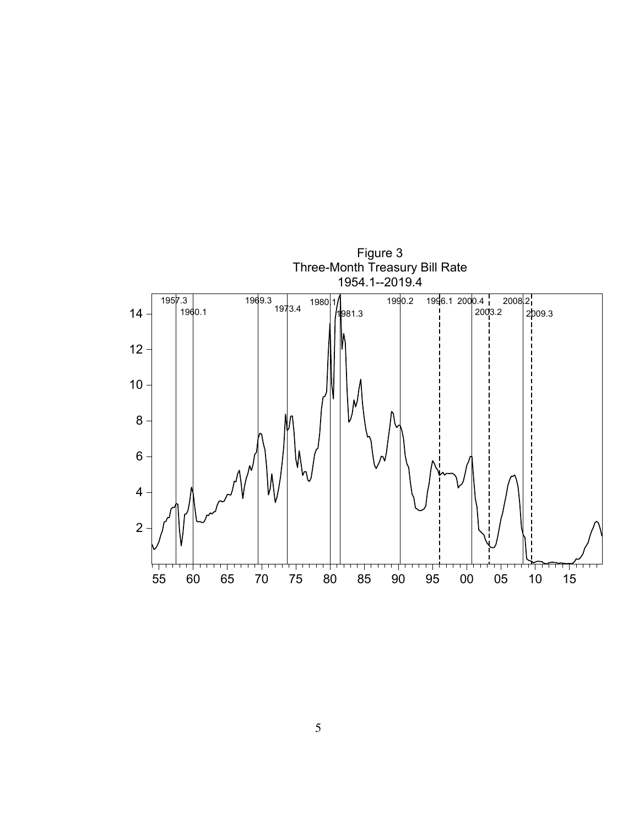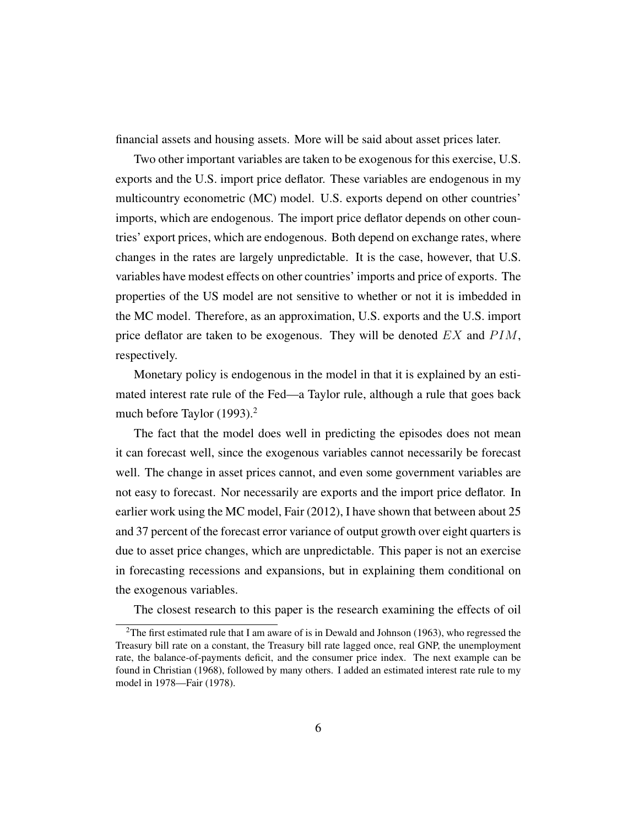financial assets and housing assets. More will be said about asset prices later.

Two other important variables are taken to be exogenous for this exercise, U.S. exports and the U.S. import price deflator. These variables are endogenous in my multicountry econometric (MC) model. U.S. exports depend on other countries' imports, which are endogenous. The import price deflator depends on other countries' export prices, which are endogenous. Both depend on exchange rates, where changes in the rates are largely unpredictable. It is the case, however, that U.S. variables have modest effects on other countries' imports and price of exports. The properties of the US model are not sensitive to whether or not it is imbedded in the MC model. Therefore, as an approximation, U.S. exports and the U.S. import price deflator are taken to be exogenous. They will be denoted  $EX$  and  $PIM$ , respectively.

Monetary policy is endogenous in the model in that it is explained by an estimated interest rate rule of the Fed—a Taylor rule, although a rule that goes back much before Taylor (1993).<sup>2</sup>

The fact that the model does well in predicting the episodes does not mean it can forecast well, since the exogenous variables cannot necessarily be forecast well. The change in asset prices cannot, and even some government variables are not easy to forecast. Nor necessarily are exports and the import price deflator. In earlier work using the MC model, Fair (2012), I have shown that between about 25 and 37 percent of the forecast error variance of output growth over eight quarters is due to asset price changes, which are unpredictable. This paper is not an exercise in forecasting recessions and expansions, but in explaining them conditional on the exogenous variables.

The closest research to this paper is the research examining the effects of oil

<sup>&</sup>lt;sup>2</sup>The first estimated rule that I am aware of is in Dewald and Johnson (1963), who regressed the Treasury bill rate on a constant, the Treasury bill rate lagged once, real GNP, the unemployment rate, the balance-of-payments deficit, and the consumer price index. The next example can be found in Christian (1968), followed by many others. I added an estimated interest rate rule to my model in 1978—Fair (1978).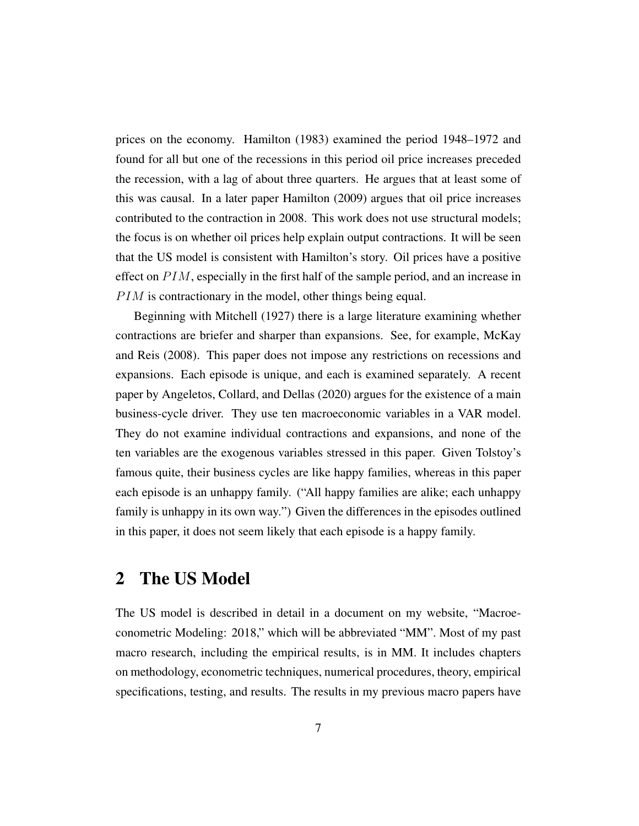prices on the economy. Hamilton (1983) examined the period 1948–1972 and found for all but one of the recessions in this period oil price increases preceded the recession, with a lag of about three quarters. He argues that at least some of this was causal. In a later paper Hamilton (2009) argues that oil price increases contributed to the contraction in 2008. This work does not use structural models; the focus is on whether oil prices help explain output contractions. It will be seen that the US model is consistent with Hamilton's story. Oil prices have a positive effect on  $PIM$ , especially in the first half of the sample period, and an increase in  $P I M$  is contractionary in the model, other things being equal.

Beginning with Mitchell (1927) there is a large literature examining whether contractions are briefer and sharper than expansions. See, for example, McKay and Reis (2008). This paper does not impose any restrictions on recessions and expansions. Each episode is unique, and each is examined separately. A recent paper by Angeletos, Collard, and Dellas (2020) argues for the existence of a main business-cycle driver. They use ten macroeconomic variables in a VAR model. They do not examine individual contractions and expansions, and none of the ten variables are the exogenous variables stressed in this paper. Given Tolstoy's famous quite, their business cycles are like happy families, whereas in this paper each episode is an unhappy family. ("All happy families are alike; each unhappy family is unhappy in its own way.") Given the differences in the episodes outlined in this paper, it does not seem likely that each episode is a happy family.

### 2 The US Model

The US model is described in detail in a document on my website, "Macroeconometric Modeling: 2018," which will be abbreviated "MM". Most of my past macro research, including the empirical results, is in MM. It includes chapters on methodology, econometric techniques, numerical procedures, theory, empirical specifications, testing, and results. The results in my previous macro papers have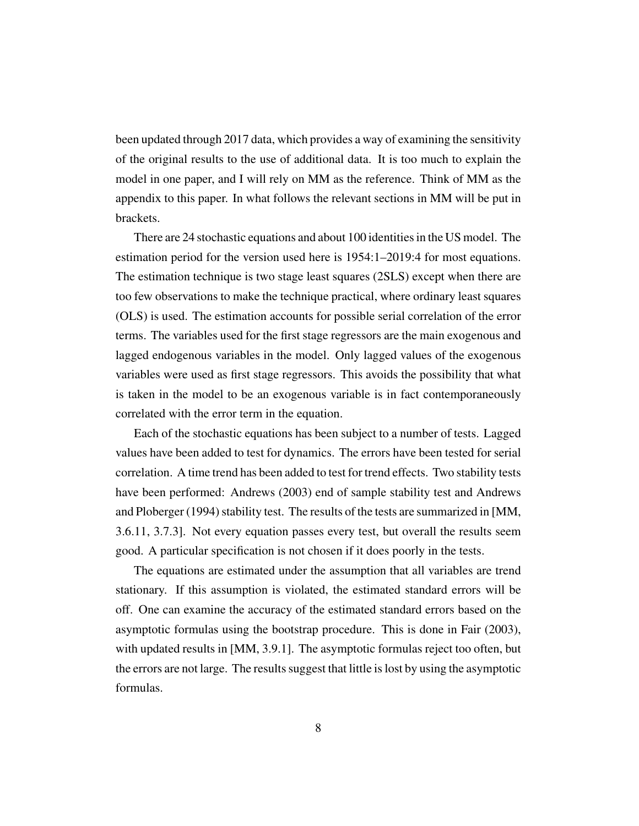been updated through 2017 data, which provides a way of examining the sensitivity of the original results to the use of additional data. It is too much to explain the model in one paper, and I will rely on MM as the reference. Think of MM as the appendix to this paper. In what follows the relevant sections in MM will be put in brackets.

There are 24 stochastic equations and about 100 identities in the US model. The estimation period for the version used here is 1954:1–2019:4 for most equations. The estimation technique is two stage least squares (2SLS) except when there are too few observations to make the technique practical, where ordinary least squares (OLS) is used. The estimation accounts for possible serial correlation of the error terms. The variables used for the first stage regressors are the main exogenous and lagged endogenous variables in the model. Only lagged values of the exogenous variables were used as first stage regressors. This avoids the possibility that what is taken in the model to be an exogenous variable is in fact contemporaneously correlated with the error term in the equation.

Each of the stochastic equations has been subject to a number of tests. Lagged values have been added to test for dynamics. The errors have been tested for serial correlation. A time trend has been added to test for trend effects. Two stability tests have been performed: Andrews (2003) end of sample stability test and Andrews and Ploberger (1994) stability test. The results of the tests are summarized in [MM, 3.6.11, 3.7.3]. Not every equation passes every test, but overall the results seem good. A particular specification is not chosen if it does poorly in the tests.

The equations are estimated under the assumption that all variables are trend stationary. If this assumption is violated, the estimated standard errors will be off. One can examine the accuracy of the estimated standard errors based on the asymptotic formulas using the bootstrap procedure. This is done in Fair (2003), with updated results in [MM, 3.9.1]. The asymptotic formulas reject too often, but the errors are not large. The results suggest that little is lost by using the asymptotic formulas.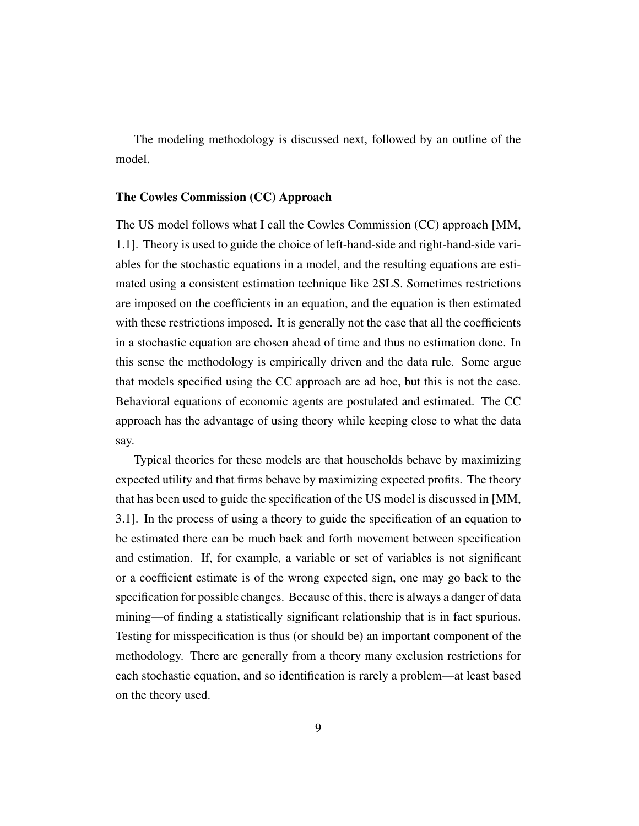The modeling methodology is discussed next, followed by an outline of the model.

#### The Cowles Commission (CC) Approach

The US model follows what I call the Cowles Commission (CC) approach [MM, 1.1]. Theory is used to guide the choice of left-hand-side and right-hand-side variables for the stochastic equations in a model, and the resulting equations are estimated using a consistent estimation technique like 2SLS. Sometimes restrictions are imposed on the coefficients in an equation, and the equation is then estimated with these restrictions imposed. It is generally not the case that all the coefficients in a stochastic equation are chosen ahead of time and thus no estimation done. In this sense the methodology is empirically driven and the data rule. Some argue that models specified using the CC approach are ad hoc, but this is not the case. Behavioral equations of economic agents are postulated and estimated. The CC approach has the advantage of using theory while keeping close to what the data say.

Typical theories for these models are that households behave by maximizing expected utility and that firms behave by maximizing expected profits. The theory that has been used to guide the specification of the US model is discussed in [MM, 3.1]. In the process of using a theory to guide the specification of an equation to be estimated there can be much back and forth movement between specification and estimation. If, for example, a variable or set of variables is not significant or a coefficient estimate is of the wrong expected sign, one may go back to the specification for possible changes. Because of this, there is always a danger of data mining—of finding a statistically significant relationship that is in fact spurious. Testing for misspecification is thus (or should be) an important component of the methodology. There are generally from a theory many exclusion restrictions for each stochastic equation, and so identification is rarely a problem—at least based on the theory used.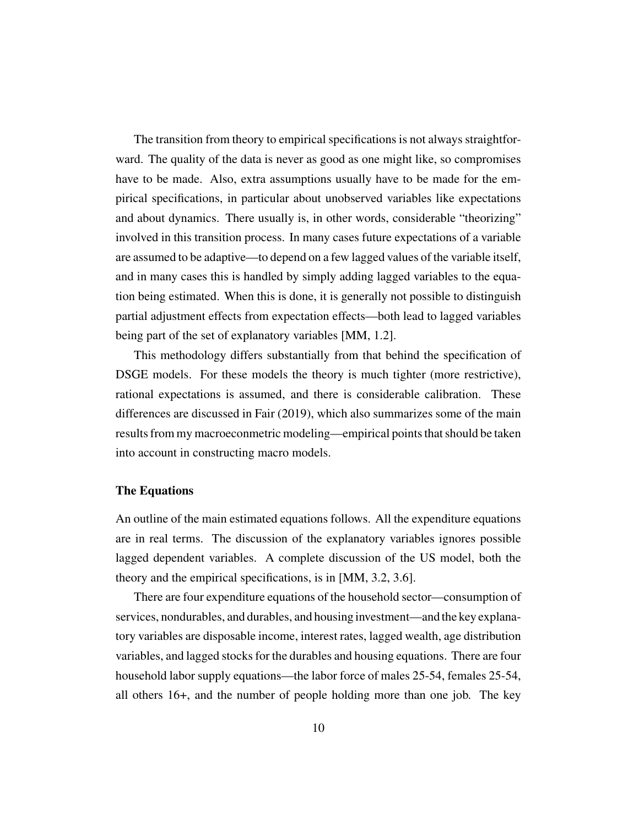The transition from theory to empirical specifications is not always straightforward. The quality of the data is never as good as one might like, so compromises have to be made. Also, extra assumptions usually have to be made for the empirical specifications, in particular about unobserved variables like expectations and about dynamics. There usually is, in other words, considerable "theorizing" involved in this transition process. In many cases future expectations of a variable are assumed to be adaptive—to depend on a few lagged values of the variable itself, and in many cases this is handled by simply adding lagged variables to the equation being estimated. When this is done, it is generally not possible to distinguish partial adjustment effects from expectation effects—both lead to lagged variables being part of the set of explanatory variables [MM, 1.2].

This methodology differs substantially from that behind the specification of DSGE models. For these models the theory is much tighter (more restrictive), rational expectations is assumed, and there is considerable calibration. These differences are discussed in Fair (2019), which also summarizes some of the main results from my macroeconmetric modeling—empirical points that should be taken into account in constructing macro models.

#### The Equations

An outline of the main estimated equations follows. All the expenditure equations are in real terms. The discussion of the explanatory variables ignores possible lagged dependent variables. A complete discussion of the US model, both the theory and the empirical specifications, is in [MM, 3.2, 3.6].

There are four expenditure equations of the household sector—consumption of services, nondurables, and durables, and housing investment—and the key explanatory variables are disposable income, interest rates, lagged wealth, age distribution variables, and lagged stocks for the durables and housing equations. There are four household labor supply equations—the labor force of males 25-54, females 25-54, all others 16+, and the number of people holding more than one job. The key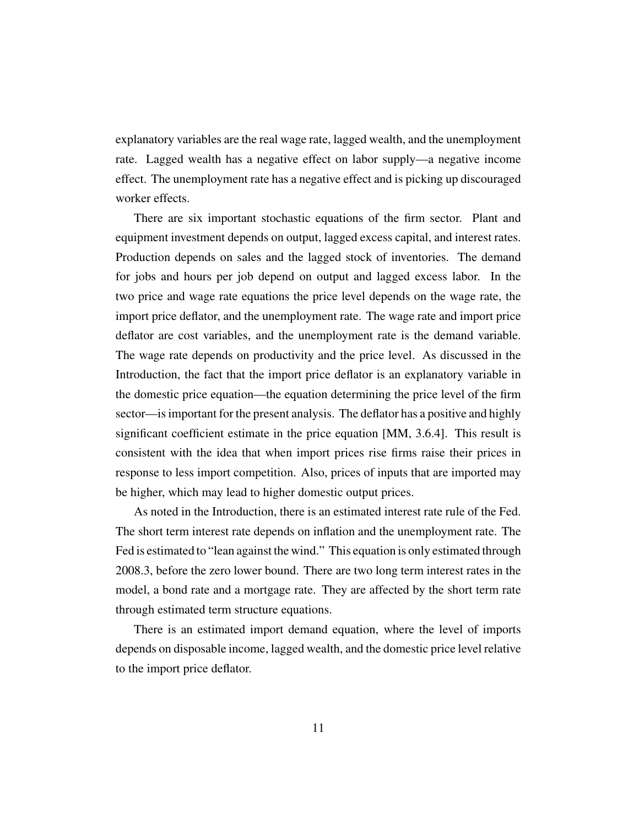explanatory variables are the real wage rate, lagged wealth, and the unemployment rate. Lagged wealth has a negative effect on labor supply—a negative income effect. The unemployment rate has a negative effect and is picking up discouraged worker effects.

There are six important stochastic equations of the firm sector. Plant and equipment investment depends on output, lagged excess capital, and interest rates. Production depends on sales and the lagged stock of inventories. The demand for jobs and hours per job depend on output and lagged excess labor. In the two price and wage rate equations the price level depends on the wage rate, the import price deflator, and the unemployment rate. The wage rate and import price deflator are cost variables, and the unemployment rate is the demand variable. The wage rate depends on productivity and the price level. As discussed in the Introduction, the fact that the import price deflator is an explanatory variable in the domestic price equation—the equation determining the price level of the firm sector—is important for the present analysis. The deflator has a positive and highly significant coefficient estimate in the price equation [MM, 3.6.4]. This result is consistent with the idea that when import prices rise firms raise their prices in response to less import competition. Also, prices of inputs that are imported may be higher, which may lead to higher domestic output prices.

As noted in the Introduction, there is an estimated interest rate rule of the Fed. The short term interest rate depends on inflation and the unemployment rate. The Fed is estimated to "lean against the wind." This equation is only estimated through 2008.3, before the zero lower bound. There are two long term interest rates in the model, a bond rate and a mortgage rate. They are affected by the short term rate through estimated term structure equations.

There is an estimated import demand equation, where the level of imports depends on disposable income, lagged wealth, and the domestic price level relative to the import price deflator.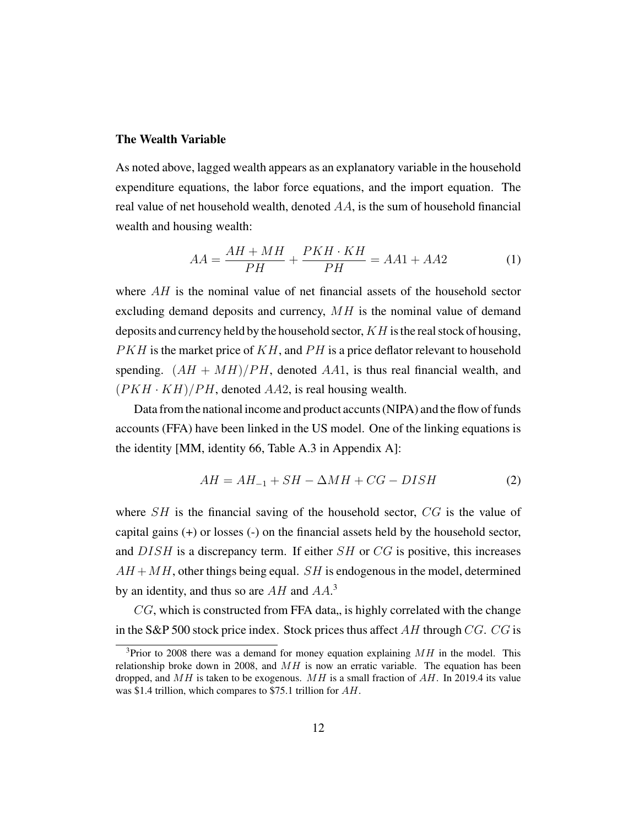#### The Wealth Variable

As noted above, lagged wealth appears as an explanatory variable in the household expenditure equations, the labor force equations, and the import equation. The real value of net household wealth, denoted  $AA$ , is the sum of household financial wealth and housing wealth:

$$
AA = \frac{AH + MH}{PH} + \frac{PKH \cdot KH}{PH} = AA1 + AA2 \tag{1}
$$

where  $AH$  is the nominal value of net financial assets of the household sector excluding demand deposits and currency,  $MH$  is the nominal value of demand deposits and currency held by the household sector,  $KH$  is the real stock of housing,  $PKH$  is the market price of  $KH$ , and  $PH$  is a price deflator relevant to household spending.  $(AH + MH)/PH$ , denoted AA1, is thus real financial wealth, and  $(PKH \cdot KH)/PH$ , denoted AA2, is real housing wealth.

Data from the national income and product accunts (NIPA) and the flow of funds accounts (FFA) have been linked in the US model. One of the linking equations is the identity [MM, identity 66, Table A.3 in Appendix A]:

$$
AH = AH_{-1} + SH - \Delta MH + CG - DISH \tag{2}
$$

where  $SH$  is the financial saving of the household sector,  $CG$  is the value of capital gains (+) or losses (-) on the financial assets held by the household sector, and DISH is a discrepancy term. If either SH or CG is positive, this increases  $AH +MH$ , other things being equal. SH is endogenous in the model, determined by an identity, and thus so are  $AH$  and  $AA$ <sup>3</sup>.

 $CG$ , which is constructed from FFA data, is highly correlated with the change in the S&P 500 stock price index. Stock prices thus affect  $AH$  through  $CG$ .  $CG$  is

<sup>&</sup>lt;sup>3</sup>Prior to 2008 there was a demand for money equation explaining  $MH$  in the model. This relationship broke down in 2008, and  $MH$  is now an erratic variable. The equation has been dropped, and  $MH$  is taken to be exogenous. MH is a small fraction of AH. In 2019.4 its value was \$1.4 trillion, which compares to \$75.1 trillion for AH.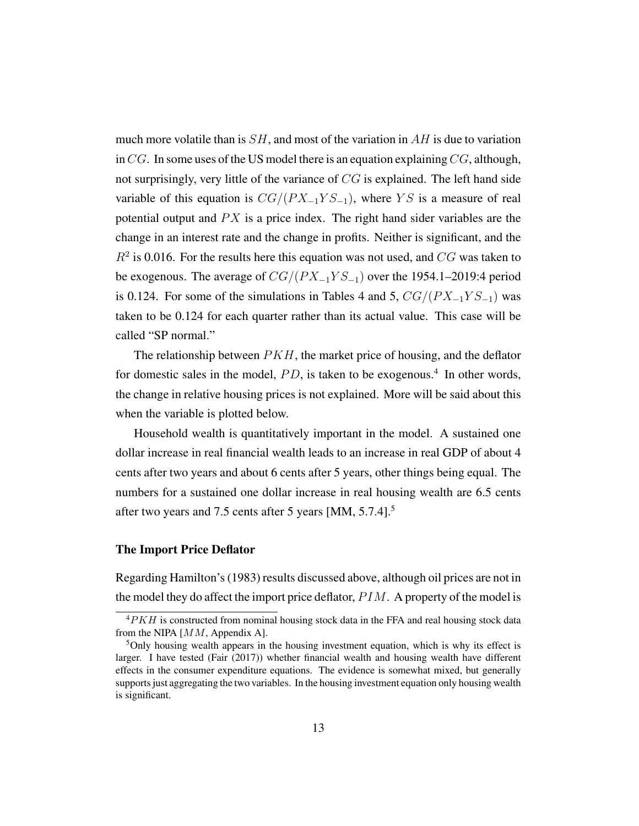much more volatile than is  $SH$ , and most of the variation in  $AH$  is due to variation in  $CG$ . In some uses of the US model there is an equation explaining  $CG$ , although, not surprisingly, very little of the variance of  $CG$  is explained. The left hand side variable of this equation is  $CG/(PX_{-1}YS_{-1})$ , where YS is a measure of real potential output and  $PX$  is a price index. The right hand sider variables are the change in an interest rate and the change in profits. Neither is significant, and the  $R<sup>2</sup>$  is 0.016. For the results here this equation was not used, and  $CG$  was taken to be exogenous. The average of  $CG/(PX_{-1}YS_{-1})$  over the 1954.1–2019:4 period is 0.124. For some of the simulations in Tables 4 and 5,  $CG/(PX_{-1}YS_{-1})$  was taken to be 0.124 for each quarter rather than its actual value. This case will be called "SP normal."

The relationship between  $PKH$ , the market price of housing, and the deflator for domestic sales in the model,  $PD$ , is taken to be exogenous.<sup>4</sup> In other words, the change in relative housing prices is not explained. More will be said about this when the variable is plotted below.

Household wealth is quantitatively important in the model. A sustained one dollar increase in real financial wealth leads to an increase in real GDP of about 4 cents after two years and about 6 cents after 5 years, other things being equal. The numbers for a sustained one dollar increase in real housing wealth are 6.5 cents after two years and 7.5 cents after 5 years [MM, 5.7.4].<sup>5</sup>

#### The Import Price Deflator

Regarding Hamilton's (1983) results discussed above, although oil prices are not in the model they do affect the import price deflator,  $PIM$ . A property of the model is

 $4PKH$  is constructed from nominal housing stock data in the FFA and real housing stock data from the NIPA [MM, Appendix A].

 $5$ Only housing wealth appears in the housing investment equation, which is why its effect is larger. I have tested (Fair (2017)) whether financial wealth and housing wealth have different effects in the consumer expenditure equations. The evidence is somewhat mixed, but generally supports just aggregating the two variables. In the housing investment equation only housing wealth is significant.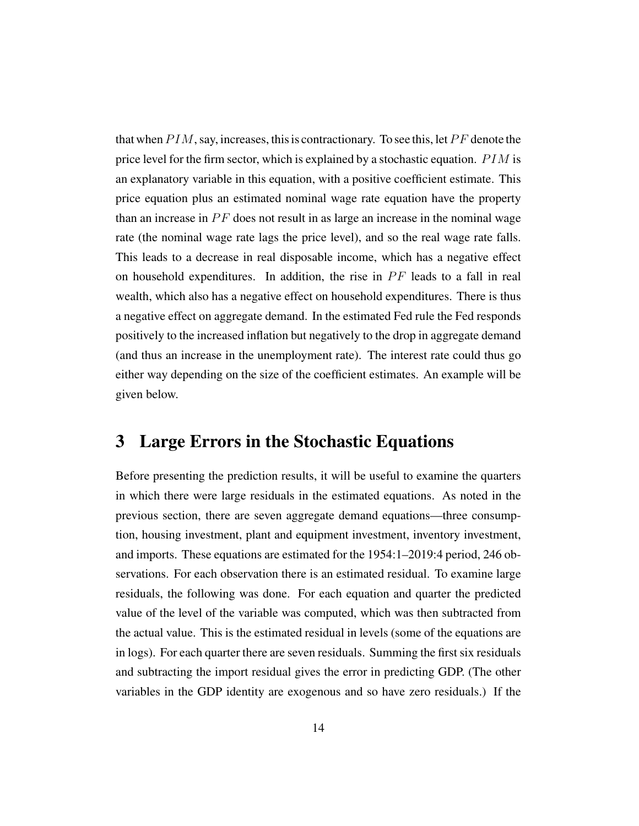that when  $P I M$ , say, increases, this is contractionary. To see this, let  $P F$  denote the price level for the firm sector, which is explained by a stochastic equation.  $PIM$  is an explanatory variable in this equation, with a positive coefficient estimate. This price equation plus an estimated nominal wage rate equation have the property than an increase in  $PF$  does not result in as large an increase in the nominal wage rate (the nominal wage rate lags the price level), and so the real wage rate falls. This leads to a decrease in real disposable income, which has a negative effect on household expenditures. In addition, the rise in  $PF$  leads to a fall in real wealth, which also has a negative effect on household expenditures. There is thus a negative effect on aggregate demand. In the estimated Fed rule the Fed responds positively to the increased inflation but negatively to the drop in aggregate demand (and thus an increase in the unemployment rate). The interest rate could thus go either way depending on the size of the coefficient estimates. An example will be given below.

### 3 Large Errors in the Stochastic Equations

Before presenting the prediction results, it will be useful to examine the quarters in which there were large residuals in the estimated equations. As noted in the previous section, there are seven aggregate demand equations—three consumption, housing investment, plant and equipment investment, inventory investment, and imports. These equations are estimated for the 1954:1–2019:4 period, 246 observations. For each observation there is an estimated residual. To examine large residuals, the following was done. For each equation and quarter the predicted value of the level of the variable was computed, which was then subtracted from the actual value. This is the estimated residual in levels (some of the equations are in logs). For each quarter there are seven residuals. Summing the first six residuals and subtracting the import residual gives the error in predicting GDP. (The other variables in the GDP identity are exogenous and so have zero residuals.) If the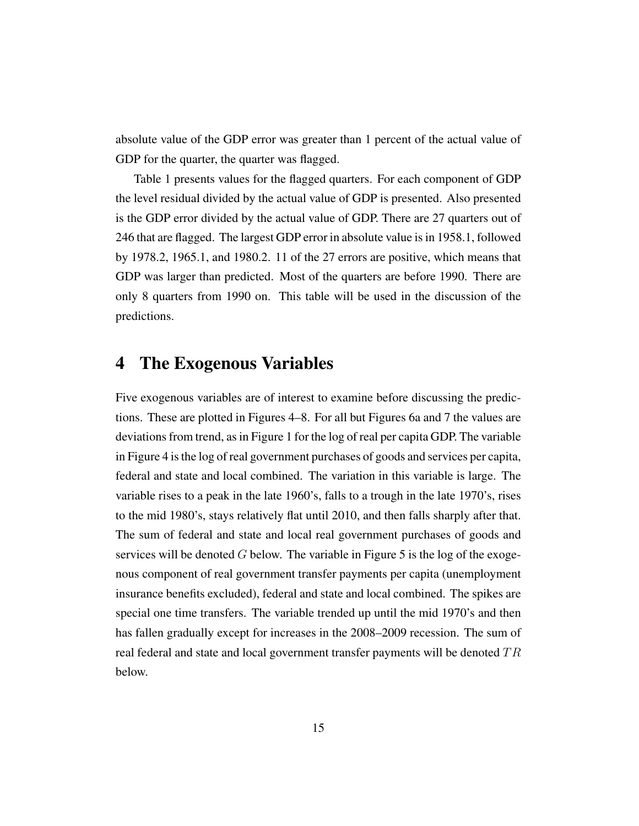absolute value of the GDP error was greater than 1 percent of the actual value of GDP for the quarter, the quarter was flagged.

Table 1 presents values for the flagged quarters. For each component of GDP the level residual divided by the actual value of GDP is presented. Also presented is the GDP error divided by the actual value of GDP. There are 27 quarters out of 246 that are flagged. The largest GDP error in absolute value is in 1958.1, followed by 1978.2, 1965.1, and 1980.2. 11 of the 27 errors are positive, which means that GDP was larger than predicted. Most of the quarters are before 1990. There are only 8 quarters from 1990 on. This table will be used in the discussion of the predictions.

### 4 The Exogenous Variables

Five exogenous variables are of interest to examine before discussing the predictions. These are plotted in Figures 4–8. For all but Figures 6a and 7 the values are deviations from trend, as in Figure 1 for the log of real per capita GDP. The variable in Figure 4 is the log of real government purchases of goods and services per capita, federal and state and local combined. The variation in this variable is large. The variable rises to a peak in the late 1960's, falls to a trough in the late 1970's, rises to the mid 1980's, stays relatively flat until 2010, and then falls sharply after that. The sum of federal and state and local real government purchases of goods and services will be denoted  $G$  below. The variable in Figure 5 is the log of the exogenous component of real government transfer payments per capita (unemployment insurance benefits excluded), federal and state and local combined. The spikes are special one time transfers. The variable trended up until the mid 1970's and then has fallen gradually except for increases in the 2008–2009 recession. The sum of real federal and state and local government transfer payments will be denoted  $TR$ below.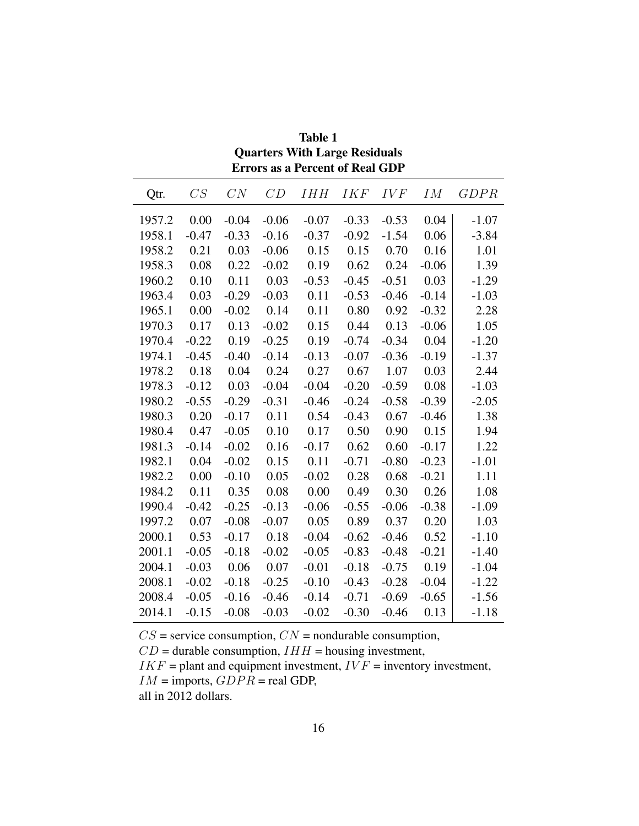|        | ELIOIS AS A FEICEIN OI <b>N</b> eal GDI |         |         |            |            |         |         |             |
|--------|-----------------------------------------|---------|---------|------------|------------|---------|---------|-------------|
| Qtr.   | CS                                      | CN      | CD      | <b>IHH</b> | <b>IKF</b> | IVF     | IM      | <i>GDPR</i> |
| 1957.2 | 0.00                                    | $-0.04$ | $-0.06$ | $-0.07$    | $-0.33$    | $-0.53$ | 0.04    | $-1.07$     |
| 1958.1 | $-0.47$                                 | $-0.33$ | $-0.16$ | $-0.37$    | $-0.92$    | $-1.54$ | 0.06    | $-3.84$     |
| 1958.2 | 0.21                                    | 0.03    | $-0.06$ | 0.15       | 0.15       | 0.70    | 0.16    | 1.01        |
| 1958.3 | 0.08                                    | 0.22    | $-0.02$ | 0.19       | 0.62       | 0.24    | $-0.06$ | 1.39        |
| 1960.2 | 0.10                                    | 0.11    | 0.03    | $-0.53$    | $-0.45$    | $-0.51$ | 0.03    | $-1.29$     |
| 1963.4 | 0.03                                    | $-0.29$ | $-0.03$ | 0.11       | $-0.53$    | $-0.46$ | $-0.14$ | $-1.03$     |
| 1965.1 | 0.00                                    | $-0.02$ | 0.14    | 0.11       | 0.80       | 0.92    | $-0.32$ | 2.28        |
| 1970.3 | 0.17                                    | 0.13    | $-0.02$ | 0.15       | 0.44       | 0.13    | $-0.06$ | 1.05        |
| 1970.4 | $-0.22$                                 | 0.19    | $-0.25$ | 0.19       | $-0.74$    | $-0.34$ | 0.04    | $-1.20$     |
| 1974.1 | $-0.45$                                 | $-0.40$ | $-0.14$ | $-0.13$    | $-0.07$    | $-0.36$ | $-0.19$ | $-1.37$     |
| 1978.2 | 0.18                                    | 0.04    | 0.24    | 0.27       | 0.67       | 1.07    | 0.03    | 2.44        |
| 1978.3 | $-0.12$                                 | 0.03    | $-0.04$ | $-0.04$    | $-0.20$    | $-0.59$ | 0.08    | $-1.03$     |
| 1980.2 | $-0.55$                                 | $-0.29$ | $-0.31$ | $-0.46$    | $-0.24$    | $-0.58$ | $-0.39$ | $-2.05$     |
| 1980.3 | 0.20                                    | $-0.17$ | 0.11    | 0.54       | $-0.43$    | 0.67    | $-0.46$ | 1.38        |
| 1980.4 | 0.47                                    | $-0.05$ | 0.10    | 0.17       | 0.50       | 0.90    | 0.15    | 1.94        |
| 1981.3 | $-0.14$                                 | $-0.02$ | 0.16    | $-0.17$    | 0.62       | 0.60    | $-0.17$ | 1.22        |
| 1982.1 | 0.04                                    | $-0.02$ | 0.15    | 0.11       | $-0.71$    | $-0.80$ | $-0.23$ | $-1.01$     |
| 1982.2 | 0.00                                    | $-0.10$ | 0.05    | $-0.02$    | 0.28       | 0.68    | $-0.21$ | 1.11        |
| 1984.2 | 0.11                                    | 0.35    | 0.08    | 0.00       | 0.49       | 0.30    | 0.26    | 1.08        |
| 1990.4 | $-0.42$                                 | $-0.25$ | $-0.13$ | $-0.06$    | $-0.55$    | $-0.06$ | $-0.38$ | $-1.09$     |
| 1997.2 | 0.07                                    | $-0.08$ | $-0.07$ | 0.05       | 0.89       | 0.37    | 0.20    | 1.03        |
| 2000.1 | 0.53                                    | $-0.17$ | 0.18    | $-0.04$    | $-0.62$    | $-0.46$ | 0.52    | $-1.10$     |
| 2001.1 | $-0.05$                                 | $-0.18$ | $-0.02$ | $-0.05$    | $-0.83$    | $-0.48$ | $-0.21$ | $-1.40$     |
| 2004.1 | $-0.03$                                 | 0.06    | 0.07    | $-0.01$    | $-0.18$    | $-0.75$ | 0.19    | $-1.04$     |
| 2008.1 | $-0.02$                                 | $-0.18$ | $-0.25$ | $-0.10$    | $-0.43$    | $-0.28$ | $-0.04$ | $-1.22$     |
| 2008.4 | $-0.05$                                 | $-0.16$ | $-0.46$ | $-0.14$    | $-0.71$    | $-0.69$ | $-0.65$ | $-1.56$     |
| 2014.1 | $-0.15$                                 | $-0.08$ | $-0.03$ | $-0.02$    | $-0.30$    | $-0.46$ | 0.13    | $-1.18$     |

Table 1 Quarters With Large Residuals Errors as a Percent of Real GDP

 $CS$  = service consumption,  $CN$  = nondurable consumption,

 $CD =$  durable consumption,  $IHH =$  housing investment,

 $IKF =$  plant and equipment investment,  $IVF =$  inventory investment,

 $IM =$  imports,  $GDPR =$  real GDP,

all in 2012 dollars.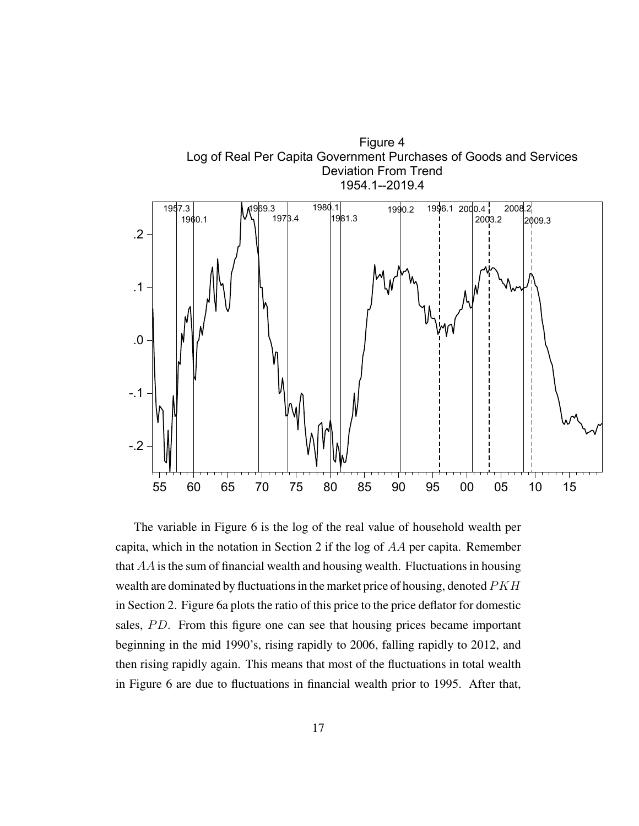

The variable in Figure 6 is the log of the real value of household wealth per capita, which in the notation in Section 2 if the log of AA per capita. Remember that  $AA$  is the sum of financial wealth and housing wealth. Fluctuations in housing wealth are dominated by fluctuations in the market price of housing, denoted  $PKH$ in Section 2. Figure 6a plots the ratio of this price to the price deflator for domestic sales, PD. From this figure one can see that housing prices became important beginning in the mid 1990's, rising rapidly to 2006, falling rapidly to 2012, and then rising rapidly again. This means that most of the fluctuations in total wealth in Figure 6 are due to fluctuations in financial wealth prior to 1995. After that,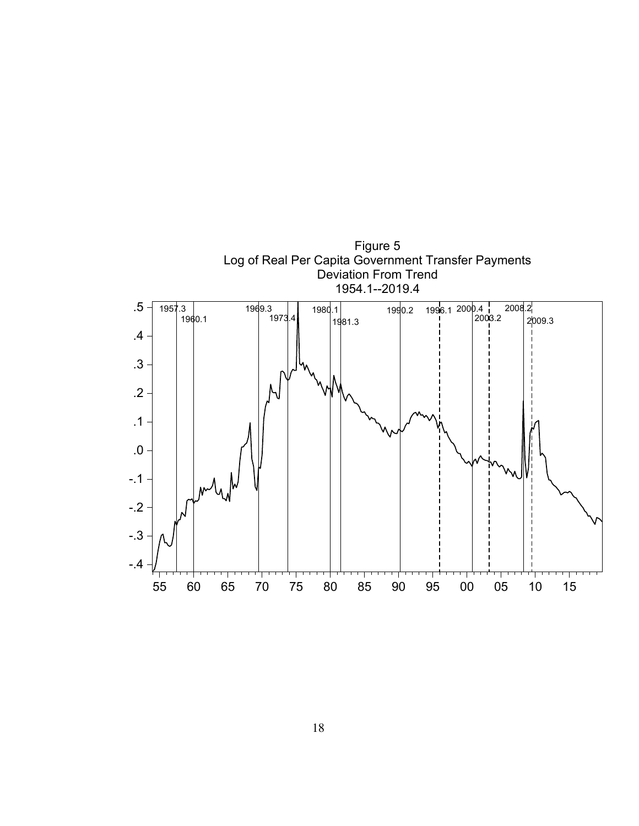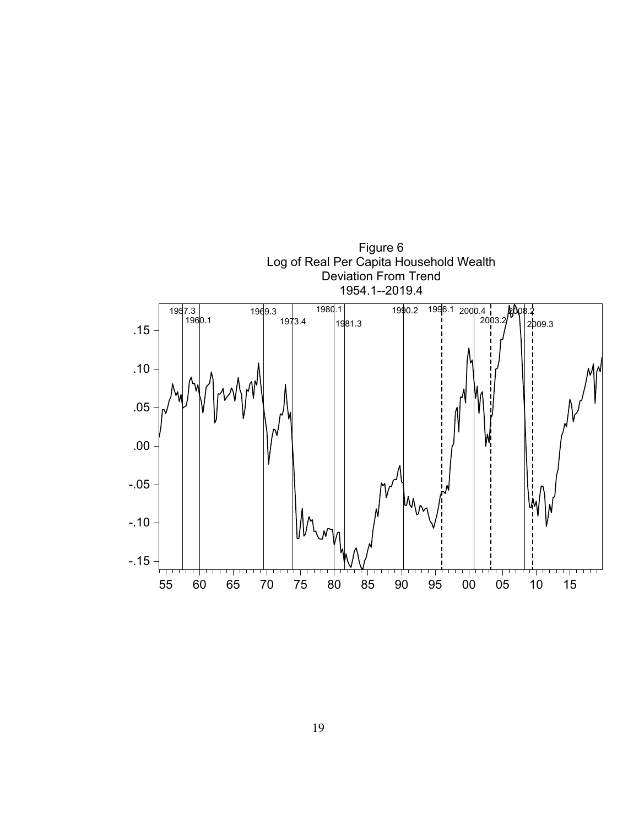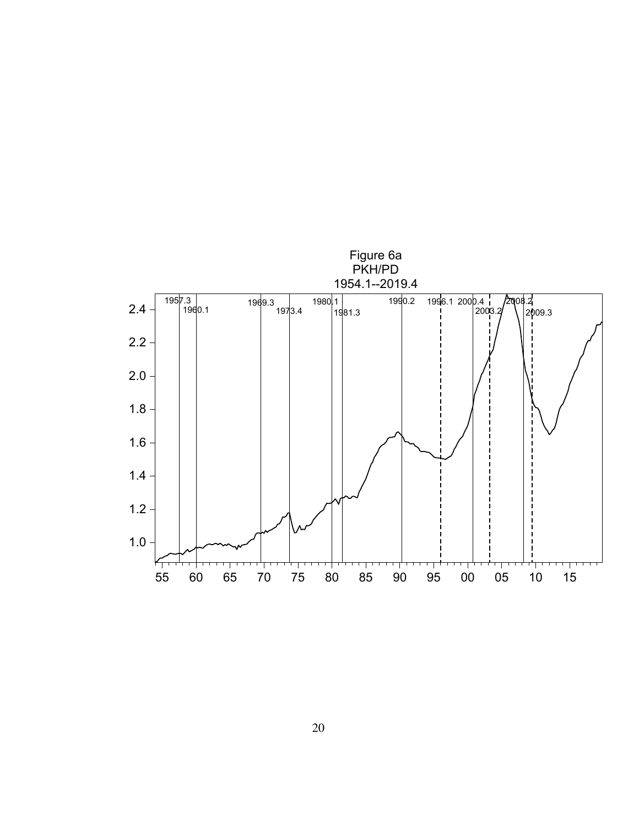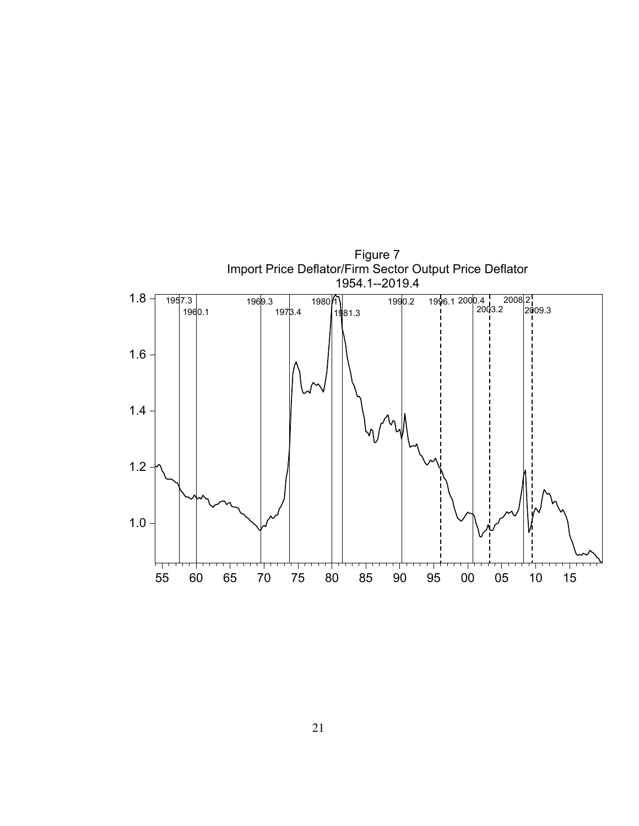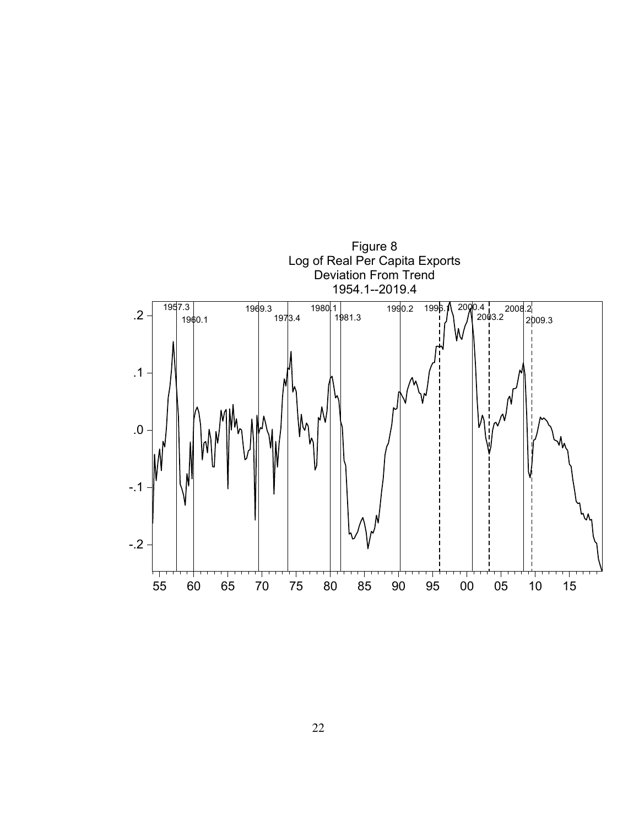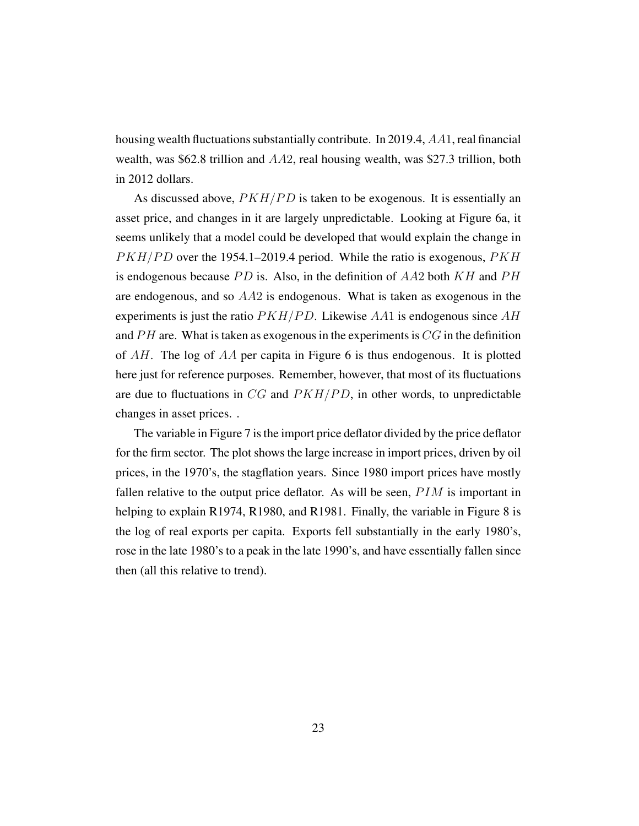housing wealth fluctuations substantially contribute. In 2019.4, AA1, real financial wealth, was \$62.8 trillion and AA2, real housing wealth, was \$27.3 trillion, both in 2012 dollars.

As discussed above,  $PKH/PD$  is taken to be exogenous. It is essentially an asset price, and changes in it are largely unpredictable. Looking at Figure 6a, it seems unlikely that a model could be developed that would explain the change in  $PKH/PD$  over the 1954.1–2019.4 period. While the ratio is exogenous,  $PKH$ is endogenous because  $PD$  is. Also, in the definition of  $AA2$  both  $KH$  and  $PH$ are endogenous, and so  $AA2$  is endogenous. What is taken as exogenous in the experiments is just the ratio  $PKH/PD$ . Likewise AA1 is endogenous since AH and  $PH$  are. What is taken as exogenous in the experiments is  $CG$  in the definition of AH. The log of AA per capita in Figure 6 is thus endogenous. It is plotted here just for reference purposes. Remember, however, that most of its fluctuations are due to fluctuations in  $CG$  and  $PKH/PD$ , in other words, to unpredictable changes in asset prices. .

The variable in Figure 7 is the import price deflator divided by the price deflator for the firm sector. The plot shows the large increase in import prices, driven by oil prices, in the 1970's, the stagflation years. Since 1980 import prices have mostly fallen relative to the output price deflator. As will be seen,  $PIM$  is important in helping to explain R1974, R1980, and R1981. Finally, the variable in Figure 8 is the log of real exports per capita. Exports fell substantially in the early 1980's, rose in the late 1980's to a peak in the late 1990's, and have essentially fallen since then (all this relative to trend).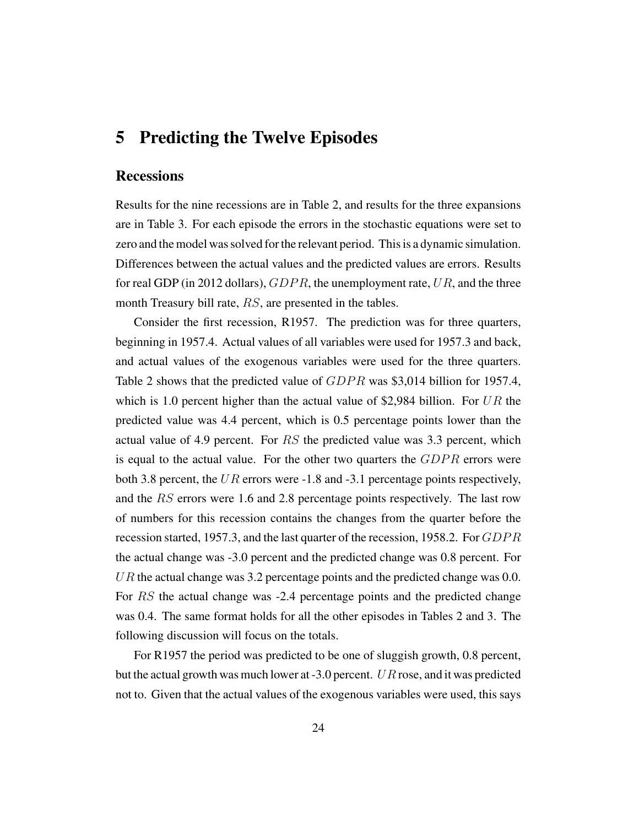### 5 Predicting the Twelve Episodes

#### **Recessions**

Results for the nine recessions are in Table 2, and results for the three expansions are in Table 3. For each episode the errors in the stochastic equations were set to zero and the model was solved for the relevant period. This is a dynamic simulation. Differences between the actual values and the predicted values are errors. Results for real GDP (in 2012 dollars),  $GDPR$ , the unemployment rate, UR, and the three month Treasury bill rate, RS, are presented in the tables.

Consider the first recession, R1957. The prediction was for three quarters, beginning in 1957.4. Actual values of all variables were used for 1957.3 and back, and actual values of the exogenous variables were used for the three quarters. Table 2 shows that the predicted value of  $GDPR$  was \$3,014 billion for 1957.4, which is 1.0 percent higher than the actual value of \$2,984 billion. For  $UR$  the predicted value was 4.4 percent, which is 0.5 percentage points lower than the actual value of 4.9 percent. For  $RS$  the predicted value was 3.3 percent, which is equal to the actual value. For the other two quarters the  $GDPR$  errors were both 3.8 percent, the UR errors were  $-1.8$  and  $-3.1$  percentage points respectively, and the RS errors were 1.6 and 2.8 percentage points respectively. The last row of numbers for this recession contains the changes from the quarter before the recession started, 1957.3, and the last quarter of the recession, 1958.2. For  $GDPR$ the actual change was -3.0 percent and the predicted change was 0.8 percent. For UR the actual change was 3.2 percentage points and the predicted change was  $0.0$ . For RS the actual change was -2.4 percentage points and the predicted change was 0.4. The same format holds for all the other episodes in Tables 2 and 3. The following discussion will focus on the totals.

For R1957 the period was predicted to be one of sluggish growth, 0.8 percent, but the actual growth was much lower at  $-3.0$  percent. UR rose, and it was predicted not to. Given that the actual values of the exogenous variables were used, this says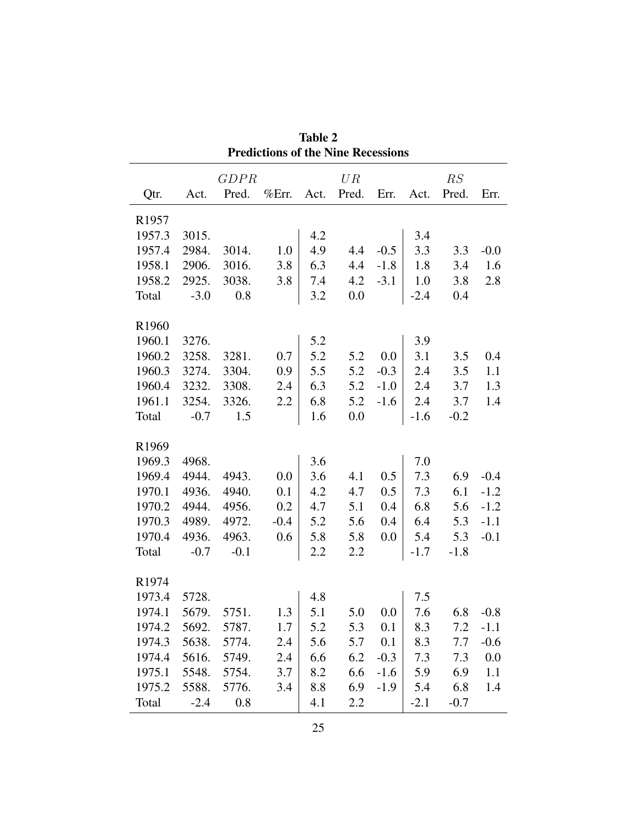| <b>Predictions of the Nine Recessions</b> |             |        |        |      |       |        |        |        |        |
|-------------------------------------------|-------------|--------|--------|------|-------|--------|--------|--------|--------|
|                                           | <b>GDPR</b> |        |        | UR   |       |        | RS     |        |        |
| Qtr.                                      | Act.        | Pred.  | %Err.  | Act. | Pred. | Err.   | Act.   | Pred.  | Err.   |
| R <sub>1957</sub>                         |             |        |        |      |       |        |        |        |        |
| 1957.3                                    | 3015.       |        |        | 4.2  |       |        | 3.4    |        |        |
| 1957.4                                    | 2984.       | 3014.  | 1.0    | 4.9  | 4.4   | $-0.5$ | 3.3    | 3.3    | $-0.0$ |
| 1958.1                                    | 2906.       | 3016.  | 3.8    | 6.3  | 4.4   | $-1.8$ | 1.8    | 3.4    | 1.6    |
| 1958.2                                    | 2925.       | 3038.  | 3.8    | 7.4  | 4.2   | $-3.1$ | 1.0    | 3.8    | 2.8    |
| Total                                     | $-3.0$      | 0.8    |        | 3.2  | 0.0   |        | $-2.4$ | 0.4    |        |
|                                           |             |        |        |      |       |        |        |        |        |
| R <sub>1960</sub>                         |             |        |        |      |       |        |        |        |        |
| 1960.1                                    | 3276.       |        |        | 5.2  |       |        | 3.9    |        |        |
| 1960.2                                    | 3258.       | 3281.  | 0.7    | 5.2  | 5.2   | 0.0    | 3.1    | 3.5    | 0.4    |
| 1960.3                                    | 3274.       | 3304.  | 0.9    | 5.5  | 5.2   | $-0.3$ | 2.4    | 3.5    | 1.1    |
| 1960.4                                    | 3232.       | 3308.  | 2.4    | 6.3  | 5.2   | $-1.0$ | 2.4    | 3.7    | 1.3    |
| 1961.1                                    | 3254.       | 3326.  | 2.2    | 6.8  | 5.2   | $-1.6$ | 2.4    | 3.7    | 1.4    |
| Total                                     | $-0.7$      | 1.5    |        | 1.6  | 0.0   |        | $-1.6$ | $-0.2$ |        |
|                                           |             |        |        |      |       |        |        |        |        |
| R1969                                     |             |        |        |      |       |        |        |        |        |
| 1969.3                                    | 4968.       |        |        | 3.6  |       |        | 7.0    |        |        |
| 1969.4                                    | 4944.       | 4943.  | 0.0    | 3.6  | 4.1   | 0.5    | 7.3    | 6.9    | $-0.4$ |
| 1970.1                                    | 4936.       | 4940.  | 0.1    | 4.2  | 4.7   | 0.5    | 7.3    | 6.1    | $-1.2$ |
| 1970.2                                    | 4944.       | 4956.  | 0.2    | 4.7  | 5.1   | 0.4    | 6.8    | 5.6    | $-1.2$ |
| 1970.3                                    | 4989.       | 4972.  | $-0.4$ | 5.2  | 5.6   | 0.4    | 6.4    | 5.3    | $-1.1$ |
| 1970.4                                    | 4936.       | 4963.  | 0.6    | 5.8  | 5.8   | 0.0    | 5.4    | 5.3    | $-0.1$ |
| Total                                     | $-0.7$      | $-0.1$ |        | 2.2  | 2.2   |        | $-1.7$ | $-1.8$ |        |
|                                           |             |        |        |      |       |        |        |        |        |
| R <sub>1974</sub>                         |             |        |        |      |       |        |        |        |        |
| 1973.4                                    | 5728.       |        |        | 4.8  |       |        | 7.5    |        |        |
| 1974.1                                    | 5679.       | 5751.  | 1.3    | 5.1  | 5.0   | 0.0    | 7.6    | 6.8    | $-0.8$ |
| 1974.2                                    | 5692.       | 5787.  | 1.7    | 5.2  | 5.3   | 0.1    | 8.3    | 7.2    | $-1.1$ |
| 1974.3                                    | 5638.       | 5774.  | 2.4    | 5.6  | 5.7   | 0.1    | 8.3    | 7.7    | $-0.6$ |
| 1974.4                                    | 5616.       | 5749.  | 2.4    | 6.6  | 6.2   | $-0.3$ | 7.3    | 7.3    | 0.0    |
| 1975.1                                    | 5548.       | 5754.  | 3.7    | 8.2  | 6.6   | $-1.6$ | 5.9    | 6.9    | 1.1    |
| 1975.2                                    | 5588.       | 5776.  | 3.4    | 8.8  | 6.9   | $-1.9$ | 5.4    | 6.8    | 1.4    |
| Total                                     | $-2.4$      | 0.8    |        | 4.1  | 2.2   |        | $-2.1$ | $-0.7$ |        |

Table 2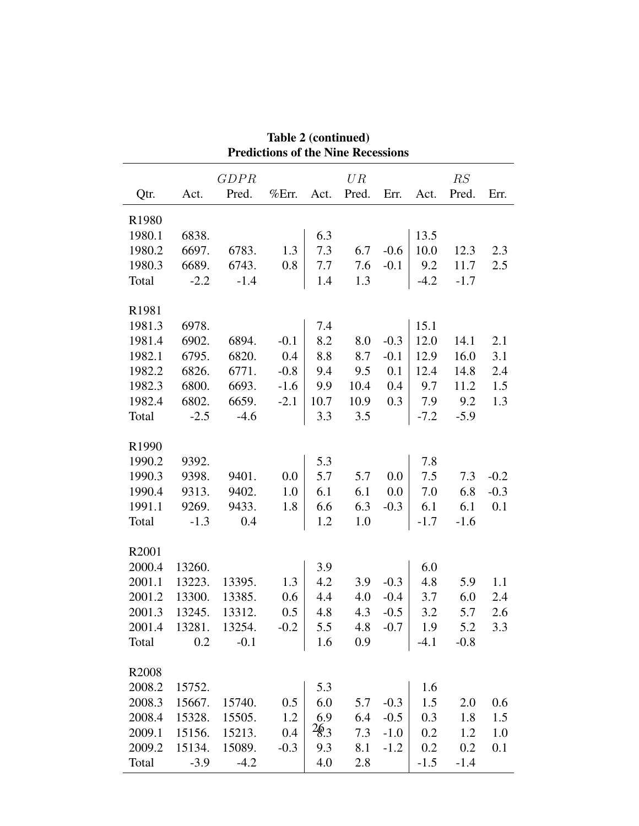| <b>Predictions of the Nine Recessions</b> |               |        |        |      |                |         |        |           |        |
|-------------------------------------------|---------------|--------|--------|------|----------------|---------|--------|-----------|--------|
|                                           |               | GDPR   |        |      | UR             |         |        | RS        |        |
| Qtr.                                      | Act.          | Pred.  | %Err.  | Act. | Pred.          | Err.    | Act.   | Pred.     | Err.   |
| R1980                                     |               |        |        |      |                |         |        |           |        |
| 1980.1                                    | 6838.         |        |        | 6.3  |                |         | 13.5   |           |        |
| 1980.2                                    | 6697.         | 6783.  | 1.3    | 7.3  | 6.7            | $-0.6$  | 10.0   | 12.3      | 2.3    |
| 1980.3                                    | 6689.         | 6743.  | 0.8    | 7.7  | 7.6            | $-0.1$  | 9.2    | 11.7      | 2.5    |
| Total                                     | $-2.2$        | $-1.4$ |        | 1.4  | 1.3            |         | $-4.2$ | $-1.7$    |        |
| R1981                                     |               |        |        |      |                |         |        |           |        |
| 1981.3                                    | 6978.         |        |        | 7.4  |                |         | 15.1   |           |        |
| 1981.4                                    | 6902.         | 6894.  | $-0.1$ | 8.2  | 8.0            | $-0.3$  | 12.0   | 14.1      | 2.1    |
| 1982.1                                    | 6795.         | 6820.  | 0.4    | 8.8  | 8.7            | $-0.1$  | 12.9   | 16.0      | 3.1    |
| 1982.2                                    | 6826.         | 6771.  | $-0.8$ | 9.4  | 9.5            | 0.1     | 12.4   | 14.8      | 2.4    |
| 1982.3                                    | 6800.         | 6693.  | $-1.6$ | 9.9  | 10.4           | 0.4     | 9.7    | 11.2      | 1.5    |
| 1982.4                                    | 6802.         | 6659.  | $-2.1$ | 10.7 | 10.9           | 0.3     | 7.9    | 9.2       | 1.3    |
| Total                                     | $-2.5$        | $-4.6$ |        | 3.3  | 3.5            |         | $-7.2$ | $-5.9$    |        |
| R1990                                     |               |        |        |      |                |         |        |           |        |
| 1990.2                                    | 9392.         |        |        | 5.3  |                |         | 7.8    |           |        |
| 1990.3                                    | 9398.         | 9401.  | 0.0    | 5.7  | 5.7            | 0.0     | 7.5    | 7.3       | $-0.2$ |
| 1990.4                                    | 9313.         | 9402.  | 1.0    | 6.1  | 6.1            | $0.0\,$ | 7.0    | 6.8       | $-0.3$ |
| 1991.1                                    | 9269.         | 9433.  | 1.8    | 6.6  | 6.3            | $-0.3$  | 6.1    | 6.1       | 0.1    |
| Total                                     | $-1.3$        | 0.4    |        | 1.2  | 1.0            |         | $-1.7$ | $-1.6$    |        |
| R2001                                     |               |        |        |      |                |         |        |           |        |
| 2000.4                                    | 13260.        |        |        | 3.9  |                |         | 6.0    |           |        |
| 2001.1                                    | 13223.        | 13395. | 1.3    | 4.2  | 3.9            | $-0.3$  | 4.8    | 5.9       | 1.1    |
| 2001.2                                    | 13300.        | 13385. | 0.6    | 4.4  | 4.0            | $-0.4$  | 3.7    | 6.0       | 2.4    |
| 2001.3                                    | 13245.        | 13312. | 0.5    | 4.8  | 4.3            | $-0.5$  | 3.2    | 5.7       | 2.6    |
|                                           | 2001.4 13281. | 13254. | $-0.2$ |      | $5.5$ 4.8 -0.7 |         |        | $1.9$ 5.2 | 3.3    |
| Total                                     | 0.2           | $-0.1$ |        | 1.6  | 0.9            |         | $-4.1$ | $-0.8$    |        |
| R2008                                     |               |        |        |      |                |         |        |           |        |
| 2008.2                                    | 15752.        |        |        | 5.3  |                |         | 1.6    |           |        |
| 2008.3                                    | 15667.        | 15740. | 0.5    | 6.0  | 5.7            | $-0.3$  | 1.5    | 2.0       | 0.6    |
| 2008.4                                    | 15328.        | 15505. | 1.2    | 6.9  | 6.4            | $-0.5$  | 0.3    | 1.8       | 1.5    |
| 2009.1                                    | 15156.        | 15213. | 0.4    | 26.3 | 7.3            | $-1.0$  | 0.2    | 1.2       | 1.0    |
| 2009.2                                    | 15134.        | 15089. | $-0.3$ | 9.3  | 8.1            | $-1.2$  | 0.2    | 0.2       | 0.1    |
| Total                                     | $-3.9$        | $-4.2$ |        | 4.0  | 2.8            |         | $-1.5$ | $-1.4$    |        |

Table 2 (continued)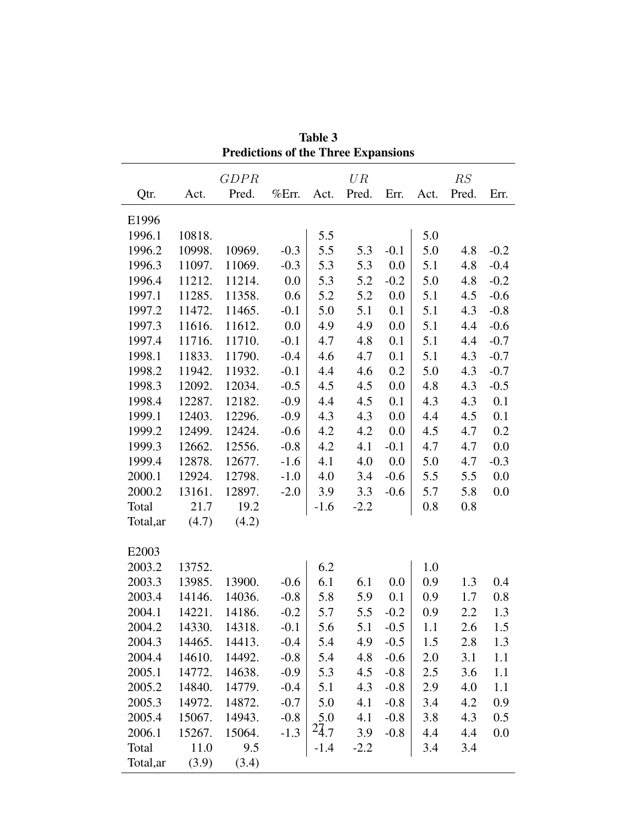| <b>Predictions of the Three Expansions</b> |        |        |        |           |        |        |      |         |        |
|--------------------------------------------|--------|--------|--------|-----------|--------|--------|------|---------|--------|
|                                            |        | GDPR   |        |           | UR     |        |      | RS      |        |
| Qtr.                                       | Act.   | Pred.  | %Err.  | Act.      | Pred.  | Err.   | Act. | Pred.   | Err.   |
| E1996                                      |        |        |        |           |        |        |      |         |        |
| 1996.1                                     | 10818. |        |        | 5.5       |        |        | 5.0  |         |        |
| 1996.2                                     | 10998. | 10969. | $-0.3$ | 5.5       | 5.3    | $-0.1$ | 5.0  | 4.8     | $-0.2$ |
| 1996.3                                     | 11097. | 11069. | $-0.3$ | 5.3       | 5.3    | 0.0    | 5.1  | 4.8     | $-0.4$ |
| 1996.4                                     | 11212. | 11214. | 0.0    | 5.3       | 5.2    | $-0.2$ | 5.0  | 4.8     | $-0.2$ |
| 1997.1                                     | 11285. | 11358. | 0.6    | 5.2       | 5.2    | 0.0    | 5.1  | 4.5     | $-0.6$ |
| 1997.2                                     | 11472. | 11465. | $-0.1$ | 5.0       | 5.1    | 0.1    | 5.1  | 4.3     | $-0.8$ |
| 1997.3                                     | 11616. | 11612. | 0.0    | 4.9       | 4.9    | 0.0    | 5.1  | 4.4     | $-0.6$ |
| 1997.4                                     | 11716. | 11710. | $-0.1$ | 4.7       | 4.8    | 0.1    | 5.1  | 4.4     | $-0.7$ |
| 1998.1                                     | 11833. | 11790. | $-0.4$ | 4.6       | 4.7    | 0.1    | 5.1  | 4.3     | $-0.7$ |
| 1998.2                                     | 11942. | 11932. | $-0.1$ | 4.4       | 4.6    | 0.2    | 5.0  | 4.3     | $-0.7$ |
| 1998.3                                     | 12092. | 12034. | $-0.5$ | 4.5       | 4.5    | 0.0    | 4.8  | 4.3     | $-0.5$ |
| 1998.4                                     | 12287. | 12182. | $-0.9$ | 4.4       | 4.5    | 0.1    | 4.3  | 4.3     | 0.1    |
| 1999.1                                     | 12403. | 12296. | $-0.9$ | 4.3       | 4.3    | 0.0    | 4.4  | 4.5     | 0.1    |
| 1999.2                                     | 12499. | 12424. | $-0.6$ | 4.2       | 4.2    | 0.0    | 4.5  | 4.7     | 0.2    |
| 1999.3                                     | 12662. | 12556. | $-0.8$ | 4.2       | 4.1    | $-0.1$ | 4.7  | 4.7     | 0.0    |
| 1999.4                                     | 12878. | 12677. | $-1.6$ | 4.1       | 4.0    | 0.0    | 5.0  | 4.7     | $-0.3$ |
| 2000.1                                     | 12924. | 12798. | $-1.0$ | 4.0       | 3.4    | $-0.6$ | 5.5  | 5.5     | 0.0    |
| 2000.2                                     | 13161. | 12897. | $-2.0$ | 3.9       | 3.3    | $-0.6$ | 5.7  | 5.8     | 0.0    |
| Total                                      | 21.7   | 19.2   |        | $-1.6$    | $-2.2$ |        | 0.8  | 0.8     |        |
| Total, ar                                  | (4.7)  | (4.2)  |        |           |        |        |      |         |        |
| E2003                                      |        |        |        |           |        |        |      |         |        |
| 2003.2                                     | 13752. |        |        | 6.2       |        |        | 1.0  |         |        |
| 2003.3                                     | 13985. | 13900. | $-0.6$ | 6.1       | 6.1    | 0.0    | 0.9  | 1.3     | 0.4    |
| 2003.4                                     | 14146. | 14036. | $-0.8$ | 5.8       | 5.9    | 0.1    | 0.9  | 1.7     | 0.8    |
| 2004.1                                     | 14221. | 14186. | $-0.2$ | 5.7       | 5.5    | $-0.2$ | 0.9  | $2.2\,$ | 1.3    |
| 2004.2                                     | 14330. | 14318. | $-0.1$ | 5.6       | 5.1    | $-0.5$ | 1.1  | 2.6     | 1.5    |
| 2004.3                                     | 14465. | 14413. | $-0.4$ | 5.4       | 4.9    | $-0.5$ | 1.5  | 2.8     | 1.3    |
| 2004.4                                     | 14610. | 14492. | $-0.8$ | 5.4       | 4.8    | $-0.6$ | 2.0  | 3.1     | 1.1    |
| 2005.1                                     | 14772. | 14638. | $-0.9$ | 5.3       | 4.5    | $-0.8$ | 2.5  | 3.6     | 1.1    |
| 2005.2                                     | 14840. | 14779. | $-0.4$ | 5.1       | 4.3    | $-0.8$ | 2.9  | 4.0     | 1.1    |
| 2005.3                                     | 14972. | 14872. | $-0.7$ | 5.0       | 4.1    | $-0.8$ | 3.4  | 4.2     | 0.9    |
| 2005.4                                     | 15067. | 14943. | $-0.8$ | 5.0       | 4.1    | $-0.8$ | 3.8  | 4.3     | 0.5    |
| 2006.1                                     | 15267. | 15064. | $-1.3$ | $^{2}4.7$ | 3.9    | $-0.8$ | 4.4  | 4.4     | 0.0    |
| Total                                      | 11.0   | 9.5    |        | $-1.4$    | $-2.2$ |        | 3.4  | 3.4     |        |
| Total, ar                                  | (3.9)  | (3.4)  |        |           |        |        |      |         |        |

Table 3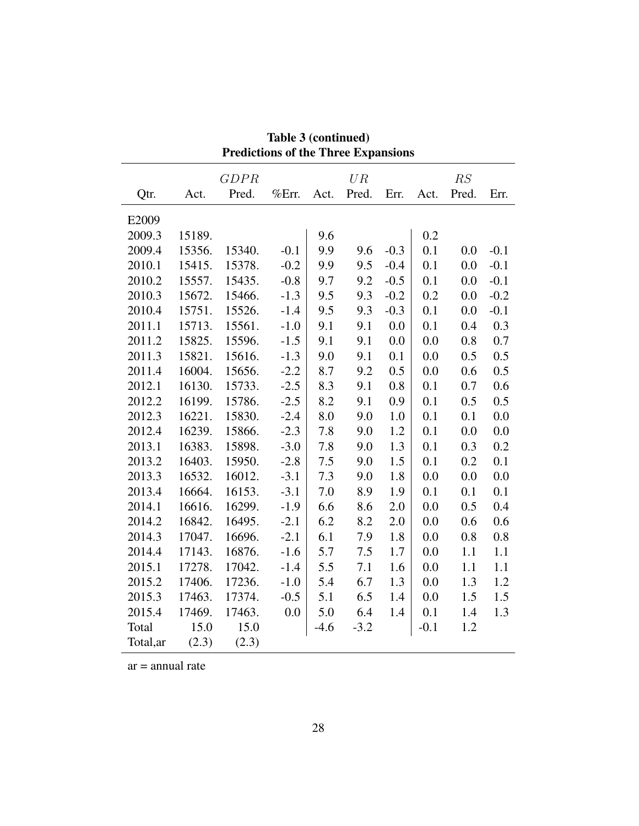|           |        | GDPR   |        |        | $U{\cal R}$ |        |        | RS    |        |
|-----------|--------|--------|--------|--------|-------------|--------|--------|-------|--------|
| Qtr.      | Act.   | Pred.  | %Err.  | Act.   | Pred.       | Err.   | Act.   | Pred. | Err.   |
| E2009     |        |        |        |        |             |        |        |       |        |
| 2009.3    | 15189. |        |        | 9.6    |             |        | 0.2    |       |        |
| 2009.4    | 15356. | 15340. | $-0.1$ | 9.9    | 9.6         | $-0.3$ | 0.1    | 0.0   | $-0.1$ |
| 2010.1    | 15415. | 15378. | $-0.2$ | 9.9    | 9.5         | $-0.4$ | 0.1    | 0.0   | $-0.1$ |
| 2010.2    | 15557. | 15435. | $-0.8$ | 9.7    | 9.2         | $-0.5$ | 0.1    | 0.0   | $-0.1$ |
| 2010.3    | 15672. | 15466. | $-1.3$ | 9.5    | 9.3         | $-0.2$ | 0.2    | 0.0   | $-0.2$ |
| 2010.4    | 15751. | 15526. | $-1.4$ | 9.5    | 9.3         | $-0.3$ | 0.1    | 0.0   | $-0.1$ |
| 2011.1    | 15713. | 15561. | $-1.0$ | 9.1    | 9.1         | 0.0    | 0.1    | 0.4   | 0.3    |
| 2011.2    | 15825. | 15596. | $-1.5$ | 9.1    | 9.1         | 0.0    | 0.0    | 0.8   | 0.7    |
| 2011.3    | 15821. | 15616. | $-1.3$ | 9.0    | 9.1         | 0.1    | 0.0    | 0.5   | 0.5    |
| 2011.4    | 16004. | 15656. | $-2.2$ | 8.7    | 9.2         | 0.5    | 0.0    | 0.6   | 0.5    |
| 2012.1    | 16130. | 15733. | $-2.5$ | 8.3    | 9.1         | 0.8    | 0.1    | 0.7   | 0.6    |
| 2012.2    | 16199. | 15786. | $-2.5$ | 8.2    | 9.1         | 0.9    | 0.1    | 0.5   | 0.5    |
| 2012.3    | 16221. | 15830. | $-2.4$ | 8.0    | 9.0         | 1.0    | 0.1    | 0.1   | 0.0    |
| 2012.4    | 16239. | 15866. | $-2.3$ | 7.8    | 9.0         | 1.2    | 0.1    | 0.0   | 0.0    |
| 2013.1    | 16383. | 15898. | $-3.0$ | 7.8    | 9.0         | 1.3    | 0.1    | 0.3   | 0.2    |
| 2013.2    | 16403. | 15950. | $-2.8$ | 7.5    | 9.0         | 1.5    | 0.1    | 0.2   | 0.1    |
| 2013.3    | 16532. | 16012. | $-3.1$ | 7.3    | 9.0         | 1.8    | 0.0    | 0.0   | 0.0    |
| 2013.4    | 16664. | 16153. | $-3.1$ | 7.0    | 8.9         | 1.9    | 0.1    | 0.1   | 0.1    |
| 2014.1    | 16616. | 16299. | $-1.9$ | 6.6    | 8.6         | 2.0    | 0.0    | 0.5   | 0.4    |
| 2014.2    | 16842. | 16495. | $-2.1$ | 6.2    | 8.2         | 2.0    | 0.0    | 0.6   | 0.6    |
| 2014.3    | 17047. | 16696. | $-2.1$ | 6.1    | 7.9         | 1.8    | 0.0    | 0.8   | 0.8    |
| 2014.4    | 17143. | 16876. | $-1.6$ | 5.7    | 7.5         | 1.7    | 0.0    | 1.1   | 1.1    |
| 2015.1    | 17278. | 17042. | $-1.4$ | 5.5    | 7.1         | 1.6    | 0.0    | 1.1   | 1.1    |
| 2015.2    | 17406. | 17236. | $-1.0$ | 5.4    | 6.7         | 1.3    | 0.0    | 1.3   | 1.2    |
| 2015.3    | 17463. | 17374. | $-0.5$ | 5.1    | 6.5         | 1.4    | 0.0    | 1.5   | 1.5    |
| 2015.4    | 17469. | 17463. | 0.0    | 5.0    | 6.4         | 1.4    | 0.1    | 1.4   | 1.3    |
| Total     | 15.0   | 15.0   |        | $-4.6$ | $-3.2$      |        | $-0.1$ | 1.2   |        |
| Total, ar | (2.3)  | (2.3)  |        |        |             |        |        |       |        |

Table 3 (continued) Predictions of the Three Expansions

ar = annual rate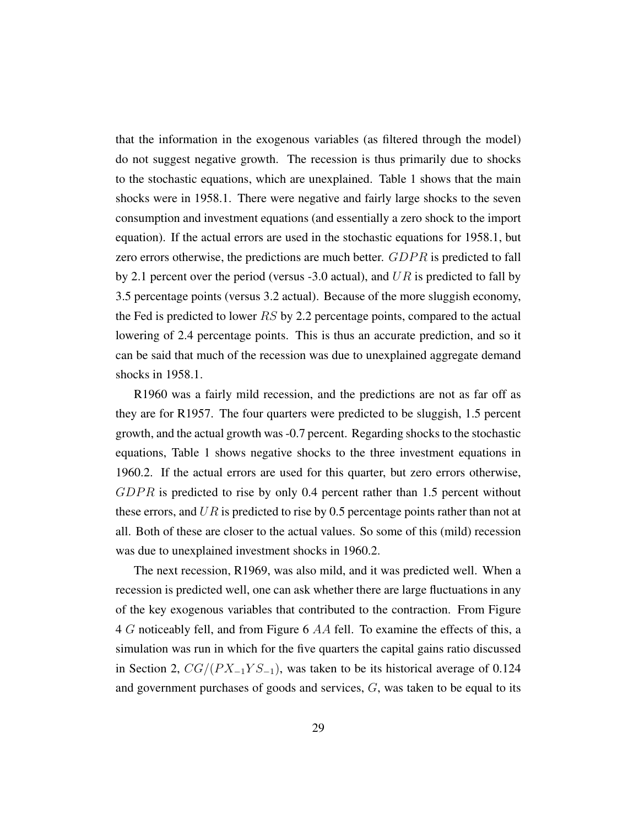that the information in the exogenous variables (as filtered through the model) do not suggest negative growth. The recession is thus primarily due to shocks to the stochastic equations, which are unexplained. Table 1 shows that the main shocks were in 1958.1. There were negative and fairly large shocks to the seven consumption and investment equations (and essentially a zero shock to the import equation). If the actual errors are used in the stochastic equations for 1958.1, but zero errors otherwise, the predictions are much better. GDPR is predicted to fall by 2.1 percent over the period (versus -3.0 actual), and  $UR$  is predicted to fall by 3.5 percentage points (versus 3.2 actual). Because of the more sluggish economy, the Fed is predicted to lower RS by 2.2 percentage points, compared to the actual lowering of 2.4 percentage points. This is thus an accurate prediction, and so it can be said that much of the recession was due to unexplained aggregate demand shocks in 1958.1.

R1960 was a fairly mild recession, and the predictions are not as far off as they are for R1957. The four quarters were predicted to be sluggish, 1.5 percent growth, and the actual growth was -0.7 percent. Regarding shocks to the stochastic equations, Table 1 shows negative shocks to the three investment equations in 1960.2. If the actual errors are used for this quarter, but zero errors otherwise,  $GDPR$  is predicted to rise by only 0.4 percent rather than 1.5 percent without these errors, and  $UR$  is predicted to rise by 0.5 percentage points rather than not at all. Both of these are closer to the actual values. So some of this (mild) recession was due to unexplained investment shocks in 1960.2.

The next recession, R1969, was also mild, and it was predicted well. When a recession is predicted well, one can ask whether there are large fluctuations in any of the key exogenous variables that contributed to the contraction. From Figure 4 G noticeably fell, and from Figure 6  $AA$  fell. To examine the effects of this, a simulation was run in which for the five quarters the capital gains ratio discussed in Section 2,  $CG/(PX_{-1}YS_{-1})$ , was taken to be its historical average of 0.124 and government purchases of goods and services, G, was taken to be equal to its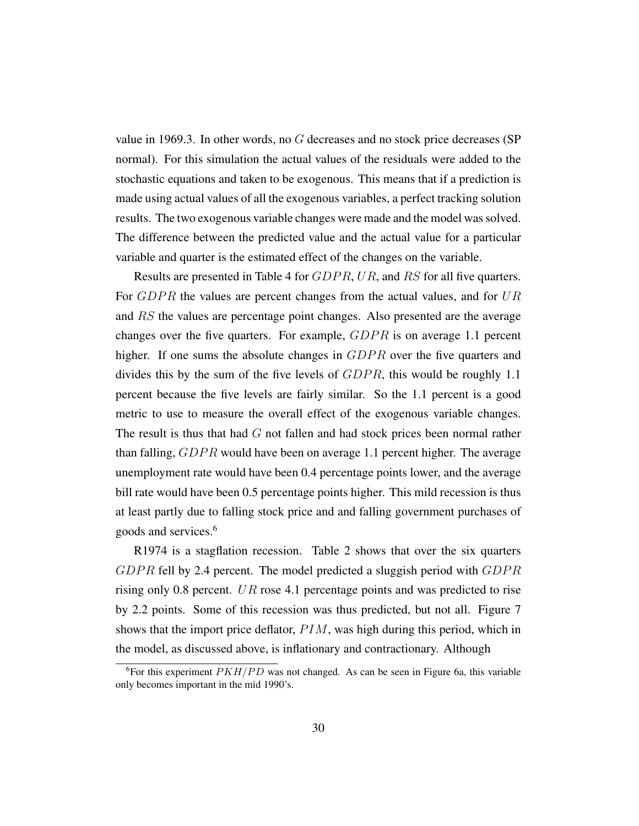value in 1969.3. In other words, no G decreases and no stock price decreases (SP normal). For this simulation the actual values of the residuals were added to the stochastic equations and taken to be exogenous. This means that if a prediction is made using actual values of all the exogenous variables, a perfect tracking solution results. The two exogenous variable changes were made and the model was solved. The difference between the predicted value and the actual value for a particular variable and quarter is the estimated effect of the changes on the variable.

Results are presented in Table 4 for *GDPR*, UR, and RS for all five quarters. For  $GDPR$  the values are percent changes from the actual values, and for  $UR$ and RS the values are percentage point changes. Also presented are the average changes over the five quarters. For example,  $GDPR$  is on average 1.1 percent higher. If one sums the absolute changes in GDPR over the five quarters and divides this by the sum of the five levels of  $GDPR$ , this would be roughly 1.1 percent because the five levels are fairly similar. So the 1.1 percent is a good metric to use to measure the overall effect of the exogenous variable changes. The result is thus that had  $G$  not fallen and had stock prices been normal rather than falling,  $GDPR$  would have been on average 1.1 percent higher. The average unemployment rate would have been 0.4 percentage points lower, and the average bill rate would have been 0.5 percentage points higher. This mild recession is thus at least partly due to falling stock price and and falling government purchases of goods and services.<sup>6</sup>

R1974 is a stagflation recession. Table 2 shows that over the six quarters  $GDPR$  fell by 2.4 percent. The model predicted a sluggish period with  $GDPR$ rising only 0.8 percent. UR rose 4.1 percentage points and was predicted to rise by 2.2 points. Some of this recession was thus predicted, but not all. Figure 7 shows that the import price deflator,  $PIM$ , was high during this period, which in the model, as discussed above, is inflationary and contractionary. Although

<sup>&</sup>lt;sup>6</sup>For this experiment  $PKH/PD$  was not changed. As can be seen in Figure 6a, this variable only becomes important in the mid 1990's.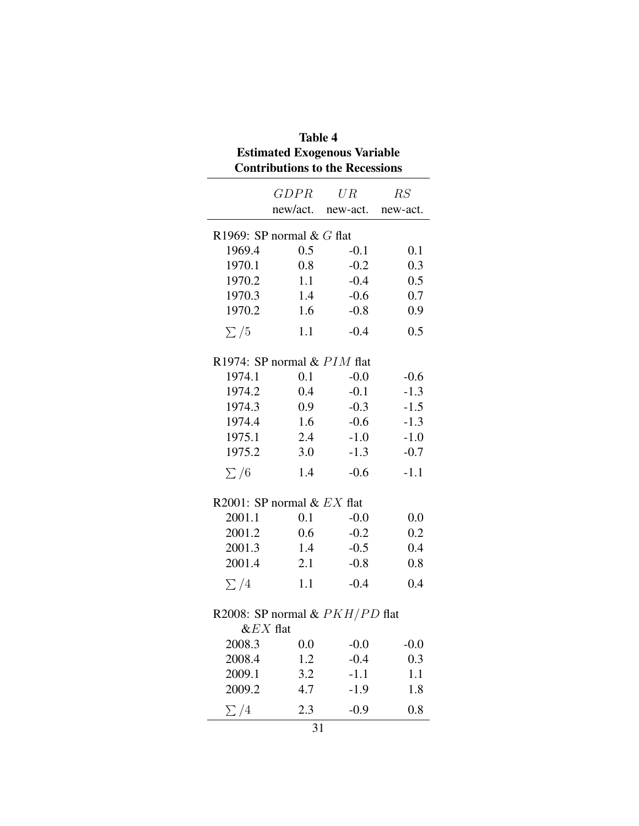| Table 4<br><b>Estimated Exogenous Variable</b><br><b>Contributions to the Recessions</b> |                                  |        |        |  |  |  |  |  |  |
|------------------------------------------------------------------------------------------|----------------------------------|--------|--------|--|--|--|--|--|--|
|                                                                                          | GDPR                             | $UR^-$ | RS     |  |  |  |  |  |  |
|                                                                                          | new/act.<br>new-act.<br>new-act. |        |        |  |  |  |  |  |  |
|                                                                                          | R1969: SP normal $& G$ flat      |        |        |  |  |  |  |  |  |
| 1969.4                                                                                   | 0.5                              | $-0.1$ | 0.1    |  |  |  |  |  |  |
| 1970.1                                                                                   | 0.8                              | $-0.2$ | 0.3    |  |  |  |  |  |  |
| 1970.2                                                                                   | 1.1                              | $-0.4$ | 0.5    |  |  |  |  |  |  |
| 1970.3                                                                                   | 1.4                              | $-0.6$ | 0.7    |  |  |  |  |  |  |
| 1970.2                                                                                   | 1.6                              | $-0.8$ | 0.9    |  |  |  |  |  |  |
| $\sum/5$                                                                                 | 1.1                              | $-0.4$ | 0.5    |  |  |  |  |  |  |
|                                                                                          | R1974: SP normal & PIM flat      |        |        |  |  |  |  |  |  |
| 1974.1                                                                                   | 0.1                              | $-0.0$ | $-0.6$ |  |  |  |  |  |  |
| 1974.2                                                                                   | $0.4\,$                          | $-0.1$ | $-1.3$ |  |  |  |  |  |  |
| 1974.3                                                                                   | 0.9                              | $-0.3$ | $-1.5$ |  |  |  |  |  |  |
| 1974.4                                                                                   | 1.6                              | $-0.6$ | $-1.3$ |  |  |  |  |  |  |
| 1975.1                                                                                   | 2.4                              | $-1.0$ | $-1.0$ |  |  |  |  |  |  |
| 1975.2                                                                                   | 3.0                              | $-1.3$ | $-0.7$ |  |  |  |  |  |  |
| $\sum/6$                                                                                 | 1.4                              | $-0.6$ | $-1.1$ |  |  |  |  |  |  |
|                                                                                          | R2001: SP normal $& EX$ flat     |        |        |  |  |  |  |  |  |
| 2001.1                                                                                   | 0.1                              | $-0.0$ | 0.0    |  |  |  |  |  |  |
| 2001.2                                                                                   | 0.6                              | $-0.2$ | 0.2    |  |  |  |  |  |  |
| 2001.3                                                                                   | 1.4                              | $-0.5$ | 0.4    |  |  |  |  |  |  |
| 2001.4                                                                                   | 2.1                              | $-0.8$ | 0.8    |  |  |  |  |  |  |
| $\sum$ /4                                                                                | 1.1                              | $-0.4$ | 0.4    |  |  |  |  |  |  |
| R2008: SP normal & $PKH/PD$ flat<br>$&$ EX flat                                          |                                  |        |        |  |  |  |  |  |  |
| 2008.3                                                                                   | 0.0                              | $-0.0$ | $-0.0$ |  |  |  |  |  |  |
| 2008.4                                                                                   | 1.2                              | $-0.4$ | 0.3    |  |  |  |  |  |  |
| 2009.1                                                                                   | 3.2                              | $-1.1$ | 1.1    |  |  |  |  |  |  |
| 2009.2                                                                                   | 4.7                              | $-1.9$ | 1.8    |  |  |  |  |  |  |
| $\sum$ /4                                                                                | 2.3                              | $-0.9$ | 0.8    |  |  |  |  |  |  |
|                                                                                          | 31                               |        |        |  |  |  |  |  |  |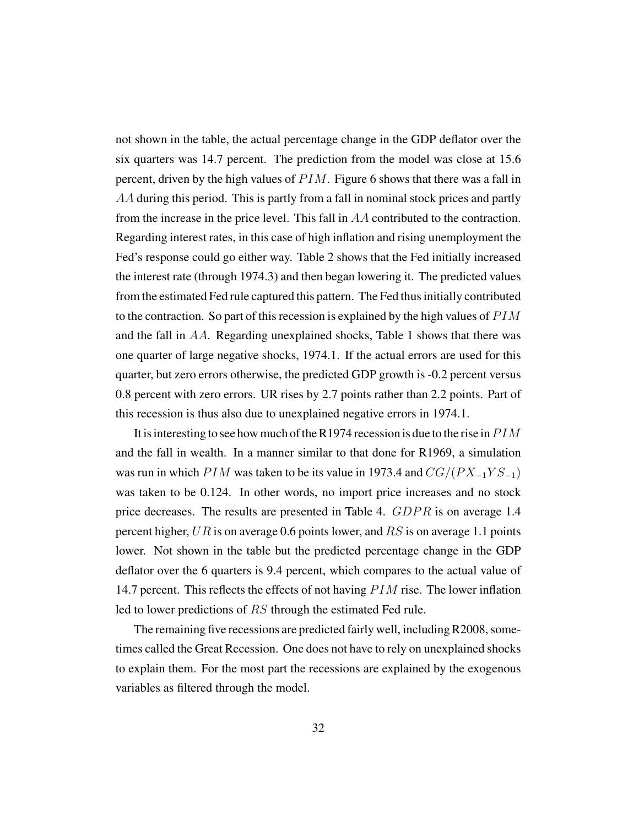not shown in the table, the actual percentage change in the GDP deflator over the six quarters was 14.7 percent. The prediction from the model was close at 15.6 percent, driven by the high values of  $PIM$ . Figure 6 shows that there was a fall in AA during this period. This is partly from a fall in nominal stock prices and partly from the increase in the price level. This fall in AA contributed to the contraction. Regarding interest rates, in this case of high inflation and rising unemployment the Fed's response could go either way. Table 2 shows that the Fed initially increased the interest rate (through 1974.3) and then began lowering it. The predicted values from the estimated Fed rule captured this pattern. The Fed thus initially contributed to the contraction. So part of this recession is explained by the high values of  $PIM$ and the fall in AA. Regarding unexplained shocks, Table 1 shows that there was one quarter of large negative shocks, 1974.1. If the actual errors are used for this quarter, but zero errors otherwise, the predicted GDP growth is -0.2 percent versus 0.8 percent with zero errors. UR rises by 2.7 points rather than 2.2 points. Part of this recession is thus also due to unexplained negative errors in 1974.1.

It is interesting to see how much of the R1974 recession is due to the rise in  $PIM$ and the fall in wealth. In a manner similar to that done for R1969, a simulation was run in which P IM was taken to be its value in 1973.4 and  $CG/(PX_{-1}YS_{-1})$ was taken to be 0.124. In other words, no import price increases and no stock price decreases. The results are presented in Table 4.  $GDPR$  is on average 1.4 percent higher,  $UR$  is on average 0.6 points lower, and  $RS$  is on average 1.1 points lower. Not shown in the table but the predicted percentage change in the GDP deflator over the 6 quarters is 9.4 percent, which compares to the actual value of 14.7 percent. This reflects the effects of not having  $PIM$  rise. The lower inflation led to lower predictions of RS through the estimated Fed rule.

The remaining five recessions are predicted fairly well, including R2008, sometimes called the Great Recession. One does not have to rely on unexplained shocks to explain them. For the most part the recessions are explained by the exogenous variables as filtered through the model.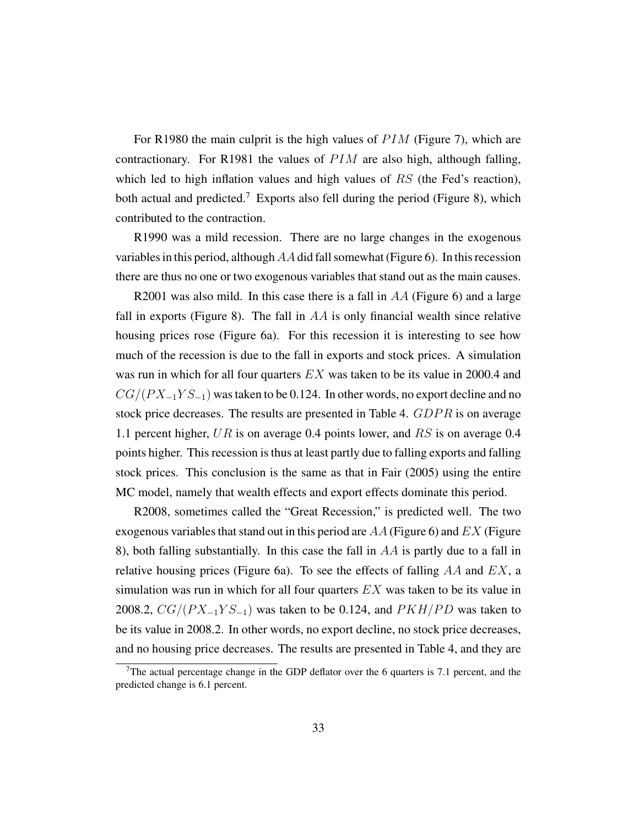For R1980 the main culprit is the high values of  $PIM$  (Figure 7), which are contractionary. For R1981 the values of  $PIM$  are also high, although falling, which led to high inflation values and high values of  $RS$  (the Fed's reaction), both actual and predicted.<sup>7</sup> Exports also fell during the period (Figure 8), which contributed to the contraction.

R1990 was a mild recession. There are no large changes in the exogenous variables in this period, although AA did fall somewhat (Figure 6). In this recession there are thus no one or two exogenous variables that stand out as the main causes.

R2001 was also mild. In this case there is a fall in  $AA$  (Figure 6) and a large fall in exports (Figure 8). The fall in  $AA$  is only financial wealth since relative housing prices rose (Figure 6a). For this recession it is interesting to see how much of the recession is due to the fall in exports and stock prices. A simulation was run in which for all four quarters  $EX$  was taken to be its value in 2000.4 and  $CG/(PX_{-1}YS_{-1})$  was taken to be 0.124. In other words, no export decline and no stock price decreases. The results are presented in Table 4. GDPR is on average 1.1 percent higher, UR is on average 0.4 points lower, and RS is on average 0.4 points higher. This recession is thus at least partly due to falling exports and falling stock prices. This conclusion is the same as that in Fair (2005) using the entire MC model, namely that wealth effects and export effects dominate this period.

R2008, sometimes called the "Great Recession," is predicted well. The two exogenous variables that stand out in this period are  $AA$  (Figure 6) and  $EX$  (Figure 8), both falling substantially. In this case the fall in  $AA$  is partly due to a fall in relative housing prices (Figure 6a). To see the effects of falling  $AA$  and  $EX$ , a simulation was run in which for all four quarters  $EX$  was taken to be its value in 2008.2,  $CG/(PX_{-1}YS_{-1})$  was taken to be 0.124, and  $PKH/PD$  was taken to be its value in 2008.2. In other words, no export decline, no stock price decreases, and no housing price decreases. The results are presented in Table 4, and they are

<sup>&</sup>lt;sup>7</sup>The actual percentage change in the GDP deflator over the 6 quarters is 7.1 percent, and the predicted change is 6.1 percent.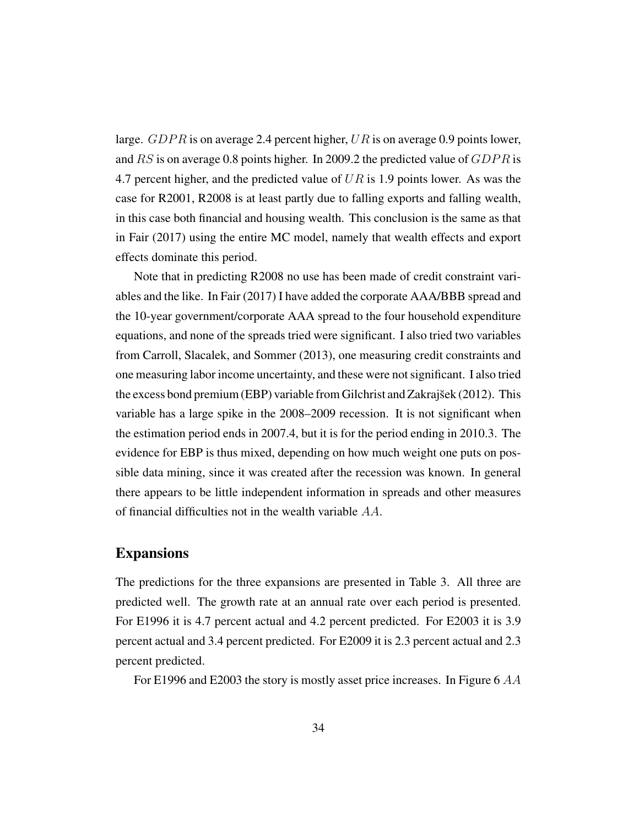large. GDPR is on average 2.4 percent higher, UR is on average 0.9 points lower, and  $RS$  is on average 0.8 points higher. In 2009.2 the predicted value of  $GDPR$  is 4.7 percent higher, and the predicted value of  $UR$  is 1.9 points lower. As was the case for R2001, R2008 is at least partly due to falling exports and falling wealth, in this case both financial and housing wealth. This conclusion is the same as that in Fair (2017) using the entire MC model, namely that wealth effects and export effects dominate this period.

Note that in predicting R2008 no use has been made of credit constraint variables and the like. In Fair (2017) I have added the corporate AAA/BBB spread and the 10-year government/corporate AAA spread to the four household expenditure equations, and none of the spreads tried were significant. I also tried two variables from Carroll, Slacalek, and Sommer (2013), one measuring credit constraints and one measuring labor income uncertainty, and these were not significant. I also tried the excess bond premium (EBP) variable from Gilchrist and Zakrajšek (2012). This variable has a large spike in the 2008–2009 recession. It is not significant when the estimation period ends in 2007.4, but it is for the period ending in 2010.3. The evidence for EBP is thus mixed, depending on how much weight one puts on possible data mining, since it was created after the recession was known. In general there appears to be little independent information in spreads and other measures of financial difficulties not in the wealth variable AA.

#### Expansions

The predictions for the three expansions are presented in Table 3. All three are predicted well. The growth rate at an annual rate over each period is presented. For E1996 it is 4.7 percent actual and 4.2 percent predicted. For E2003 it is 3.9 percent actual and 3.4 percent predicted. For E2009 it is 2.3 percent actual and 2.3 percent predicted.

For E1996 and E2003 the story is mostly asset price increases. In Figure 6 AA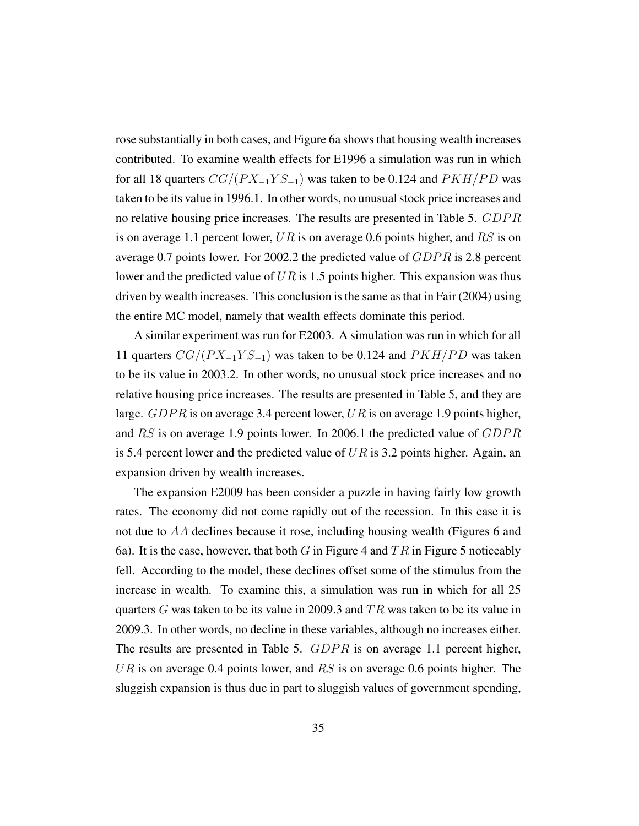rose substantially in both cases, and Figure 6a shows that housing wealth increases contributed. To examine wealth effects for E1996 a simulation was run in which for all 18 quarters  $CG/(PX_{-1}YS_{-1})$  was taken to be 0.124 and  $PKH/PD$  was taken to be its value in 1996.1. In other words, no unusual stock price increases and no relative housing price increases. The results are presented in Table 5. GDPR is on average 1.1 percent lower,  $UR$  is on average 0.6 points higher, and  $RS$  is on average 0.7 points lower. For 2002.2 the predicted value of  $GDPR$  is 2.8 percent lower and the predicted value of  $UR$  is 1.5 points higher. This expansion was thus driven by wealth increases. This conclusion is the same as that in Fair (2004) using the entire MC model, namely that wealth effects dominate this period.

A similar experiment was run for E2003. A simulation was run in which for all 11 quarters  $CG/(PX_{-1}YS_{-1})$  was taken to be 0.124 and  $PKH/PD$  was taken to be its value in 2003.2. In other words, no unusual stock price increases and no relative housing price increases. The results are presented in Table 5, and they are large.  $GDPR$  is on average 3.4 percent lower, UR is on average 1.9 points higher, and  $RS$  is on average 1.9 points lower. In 2006.1 the predicted value of  $GDPR$ is 5.4 percent lower and the predicted value of  $UR$  is 3.2 points higher. Again, an expansion driven by wealth increases.

The expansion E2009 has been consider a puzzle in having fairly low growth rates. The economy did not come rapidly out of the recession. In this case it is not due to AA declines because it rose, including housing wealth (Figures 6 and 6a). It is the case, however, that both G in Figure 4 and  $TR$  in Figure 5 noticeably fell. According to the model, these declines offset some of the stimulus from the increase in wealth. To examine this, a simulation was run in which for all 25 quarters G was taken to be its value in 2009.3 and  $TR$  was taken to be its value in 2009.3. In other words, no decline in these variables, although no increases either. The results are presented in Table 5.  $GDPR$  is on average 1.1 percent higher, UR is on average 0.4 points lower, and  $RS$  is on average 0.6 points higher. The sluggish expansion is thus due in part to sluggish values of government spending,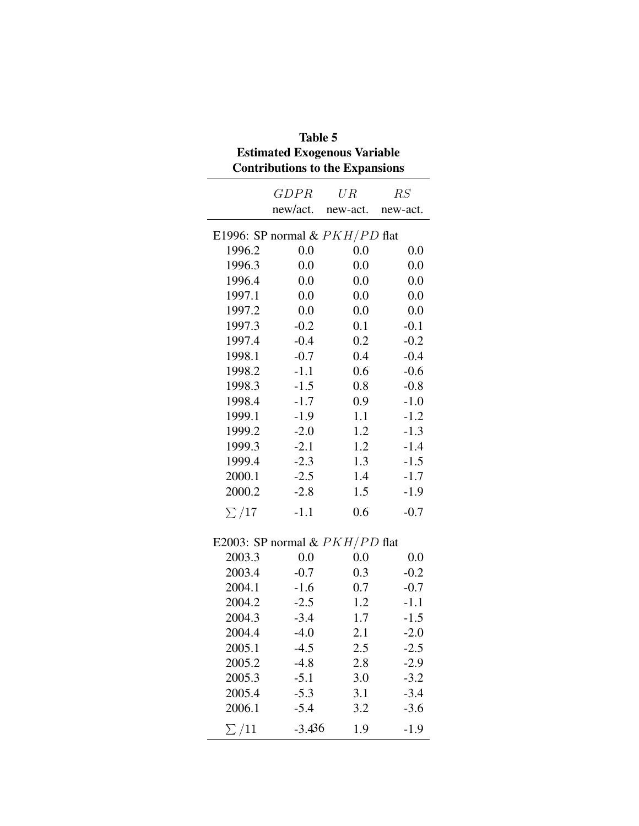|            | <b>Table 5</b><br><b>Estimated Exogenous Variable</b><br><b>Contributions to the Expansions</b> |          |          |  |  |  |
|------------|-------------------------------------------------------------------------------------------------|----------|----------|--|--|--|
|            | <b>GDPR</b>                                                                                     | UR       | RS       |  |  |  |
|            | new/act.                                                                                        | new-act. | new-act. |  |  |  |
|            | E1996: SP normal & $PKH/PD$ flat                                                                |          |          |  |  |  |
| 1996.2     | 0.0                                                                                             | 0.0      | 0.0      |  |  |  |
| 1996.3     | 0.0                                                                                             | 0.0      | 0.0      |  |  |  |
| 1996.4     | 0.0                                                                                             | 0.0      | 0.0      |  |  |  |
| 1997.1     | 0.0                                                                                             | 0.0      | 0.0      |  |  |  |
| 1997.2     | 0.0                                                                                             | 0.0      | 0.0      |  |  |  |
| 1997.3     | $-0.2$                                                                                          | 0.1      | $-0.1$   |  |  |  |
| 1997.4     | $-0.4$                                                                                          | 0.2      | $-0.2$   |  |  |  |
| 1998.1     | $-0.7$                                                                                          | 0.4      | $-0.4$   |  |  |  |
| 1998.2     | $-1.1$                                                                                          | 0.6      | $-0.6$   |  |  |  |
| 1998.3     | $-1.5$                                                                                          | 0.8      | $-0.8$   |  |  |  |
| 1998.4     | $-1.7$                                                                                          | 0.9      | $-1.0$   |  |  |  |
| 1999.1     | $-1.9$                                                                                          | 1.1      | $-1.2$   |  |  |  |
| 1999.2     | $-2.0$                                                                                          | 1.2      | $-1.3$   |  |  |  |
| 1999.3     | $-2.1$                                                                                          | 1.2      | $-1.4$   |  |  |  |
| 1999.4     | $-2.3$                                                                                          | 1.3      | $-1.5$   |  |  |  |
| 2000.1     | $-2.5$                                                                                          | 1.4      | $-1.7$   |  |  |  |
| 2000.2     | $-2.8$                                                                                          | 1.5      | $-1.9$   |  |  |  |
| $\sum$ /17 | $-1.1$                                                                                          | 0.6      | $-0.7$   |  |  |  |
|            | E2003: SP normal & $PKH/PD$ flat                                                                |          |          |  |  |  |
| 2003.3     | 0.0                                                                                             | 0.0      | 0.0      |  |  |  |
| 2003.4     | $-0.7$                                                                                          | 0.3      | $-0.2$   |  |  |  |
| 2004.1     | $-1.6$                                                                                          | 0.7      | $-0.7$   |  |  |  |
| 2004.2     | $-2.5$                                                                                          | 1.2      | $-1.1$   |  |  |  |
| 2004.3     | $-3.4$                                                                                          | 1.7      | $-1.5$   |  |  |  |
| 2004.4     | $-4.0$                                                                                          | 2.1      | $-2.0$   |  |  |  |
| 2005.1     | $-4.5$                                                                                          | 2.5      | $-2.5$   |  |  |  |
| 2005.2     | $-4.8$                                                                                          | 2.8      | $-2.9$   |  |  |  |
| 2005.3     | $-5.1$                                                                                          | 3.0      | $-3.2$   |  |  |  |
| 2005.4     | $-5.3$                                                                                          | 3.1      | $-3.4$   |  |  |  |
| 2006.1     | $-5.4$                                                                                          | 3.2      | $-3.6$   |  |  |  |
| $\sum$ /11 | $-3.436$                                                                                        | 1.9      | $-1.9$   |  |  |  |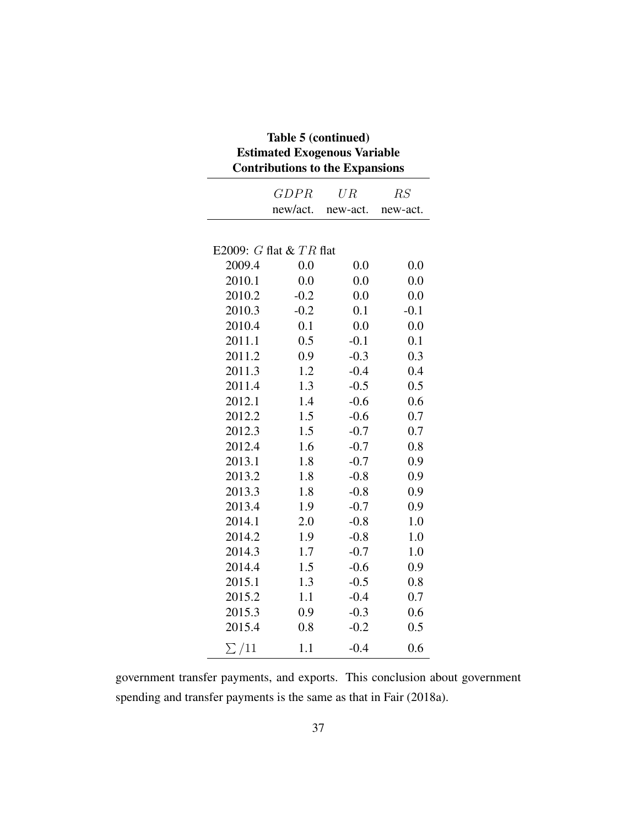| Table 5 (continued)<br><b>Estimated Exogenous Variable</b><br><b>Contributions to the Expansions</b> |                             |          |          |  |  |
|------------------------------------------------------------------------------------------------------|-----------------------------|----------|----------|--|--|
|                                                                                                      | <i>GDPR</i>                 | U R      | RS       |  |  |
|                                                                                                      | new/act.                    | new-act. | new-act. |  |  |
|                                                                                                      | E2009: $G$ flat & $TR$ flat |          |          |  |  |
| 2009.4                                                                                               | 0.0                         | 0.0      | 0.0      |  |  |
| 2010.1                                                                                               | 0.0                         | 0.0      | 0.0      |  |  |
| 2010.2                                                                                               | $-0.2$                      | 0.0      | 0.0      |  |  |
| 2010.3                                                                                               | $-0.2$                      | 0.1      | $-0.1$   |  |  |
| 2010.4                                                                                               | 0.1                         | 0.0      | 0.0      |  |  |
| 2011.1                                                                                               | 0.5                         | $-0.1$   | 0.1      |  |  |
| 2011.2                                                                                               | 0.9                         | $-0.3$   | 0.3      |  |  |
| 2011.3                                                                                               | 1.2                         | $-0.4$   | 0.4      |  |  |
| 2011.4                                                                                               | 1.3                         | $-0.5$   | 0.5      |  |  |
| 2012.1                                                                                               | 1.4                         | $-0.6$   | 0.6      |  |  |
| 2012.2                                                                                               | 1.5                         | $-0.6$   | 0.7      |  |  |
| 2012.3                                                                                               | 1.5                         | $-0.7$   | 0.7      |  |  |
| 2012.4                                                                                               | 1.6                         | $-0.7$   | 0.8      |  |  |
| 2013.1                                                                                               | 1.8                         | $-0.7$   | 0.9      |  |  |
| 2013.2                                                                                               | 1.8                         | $-0.8$   | 0.9      |  |  |
| 2013.3                                                                                               | 1.8                         | $-0.8$   | 0.9      |  |  |
| 2013.4                                                                                               | 1.9                         | $-0.7$   | 0.9      |  |  |
| 2014.1                                                                                               | 2.0                         | $-0.8$   | 1.0      |  |  |
| 2014.2                                                                                               | 1.9                         | $-0.8$   | 1.0      |  |  |
| 2014.3                                                                                               | 1.7                         | $-0.7$   | 1.0      |  |  |
| 2014.4                                                                                               | 1.5                         | $-0.6$   | 0.9      |  |  |
| 2015.1                                                                                               | 1.3                         | $-0.5$   | 0.8      |  |  |
| 2015.2                                                                                               | 1.1                         | $-0.4$   | 0.7      |  |  |
| 2015.3                                                                                               | 0.9                         | $-0.3$   | 0.6      |  |  |
| 2015.4                                                                                               | 0.8                         | $-0.2$   | 0.5      |  |  |
| $\sum$ /11                                                                                           | 1.1                         | $-0.4$   | 0.6      |  |  |

government transfer payments, and exports. This conclusion about government spending and transfer payments is the same as that in Fair (2018a).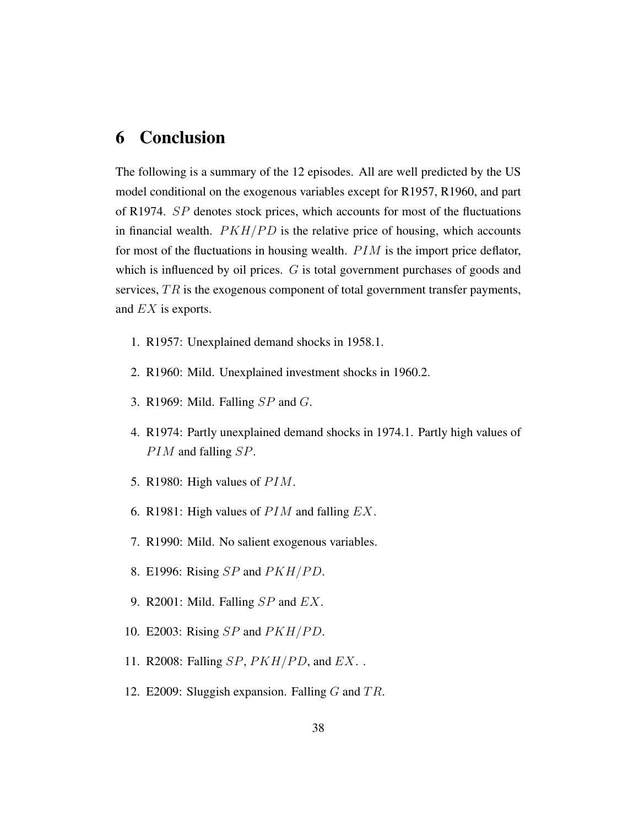### 6 Conclusion

The following is a summary of the 12 episodes. All are well predicted by the US model conditional on the exogenous variables except for R1957, R1960, and part of R1974. SP denotes stock prices, which accounts for most of the fluctuations in financial wealth.  $PKH/PD$  is the relative price of housing, which accounts for most of the fluctuations in housing wealth.  $PIM$  is the import price deflator, which is influenced by oil prices. G is total government purchases of goods and services,  $TR$  is the exogenous component of total government transfer payments, and EX is exports.

- 1. R1957: Unexplained demand shocks in 1958.1.
- 2. R1960: Mild. Unexplained investment shocks in 1960.2.
- 3. R1969: Mild. Falling  $SP$  and  $G$ .
- 4. R1974: Partly unexplained demand shocks in 1974.1. Partly high values of  $PIM$  and falling  $SP$ .
- 5. R1980: High values of  $PIM$ .
- 6. R1981: High values of  $PIM$  and falling  $EX$ .
- 7. R1990: Mild. No salient exogenous variables.
- 8. E1996: Rising  $SP$  and  $PKH/PD$ .
- 9. R2001: Mild. Falling  $SP$  and  $EX$ .
- 10. E2003: Rising  $SP$  and  $PKH/PD$ .
- 11. R2008: Falling  $SP, PKH/PD$ , and  $EX.$ .
- 12. E2009: Sluggish expansion. Falling  $G$  and  $TR$ .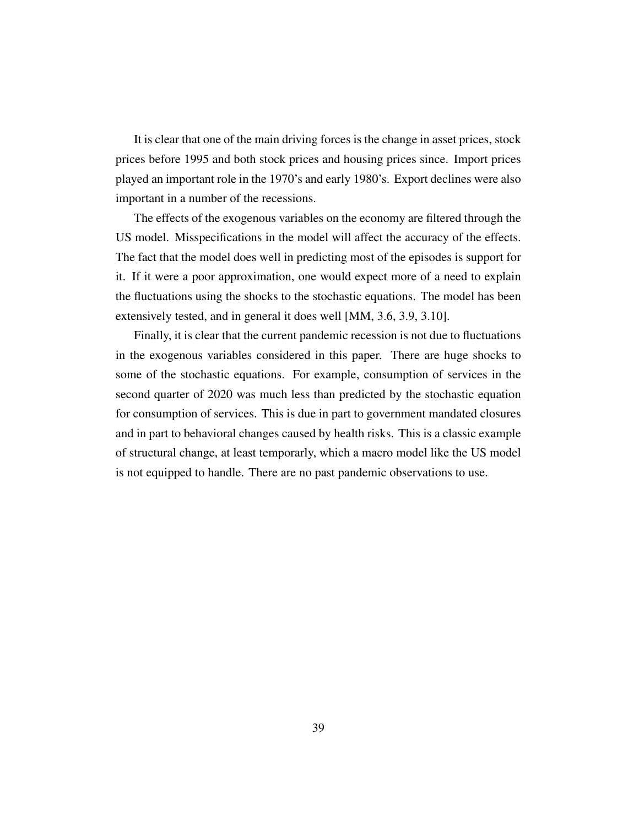It is clear that one of the main driving forces is the change in asset prices, stock prices before 1995 and both stock prices and housing prices since. Import prices played an important role in the 1970's and early 1980's. Export declines were also important in a number of the recessions.

The effects of the exogenous variables on the economy are filtered through the US model. Misspecifications in the model will affect the accuracy of the effects. The fact that the model does well in predicting most of the episodes is support for it. If it were a poor approximation, one would expect more of a need to explain the fluctuations using the shocks to the stochastic equations. The model has been extensively tested, and in general it does well [MM, 3.6, 3.9, 3.10].

Finally, it is clear that the current pandemic recession is not due to fluctuations in the exogenous variables considered in this paper. There are huge shocks to some of the stochastic equations. For example, consumption of services in the second quarter of 2020 was much less than predicted by the stochastic equation for consumption of services. This is due in part to government mandated closures and in part to behavioral changes caused by health risks. This is a classic example of structural change, at least temporarly, which a macro model like the US model is not equipped to handle. There are no past pandemic observations to use.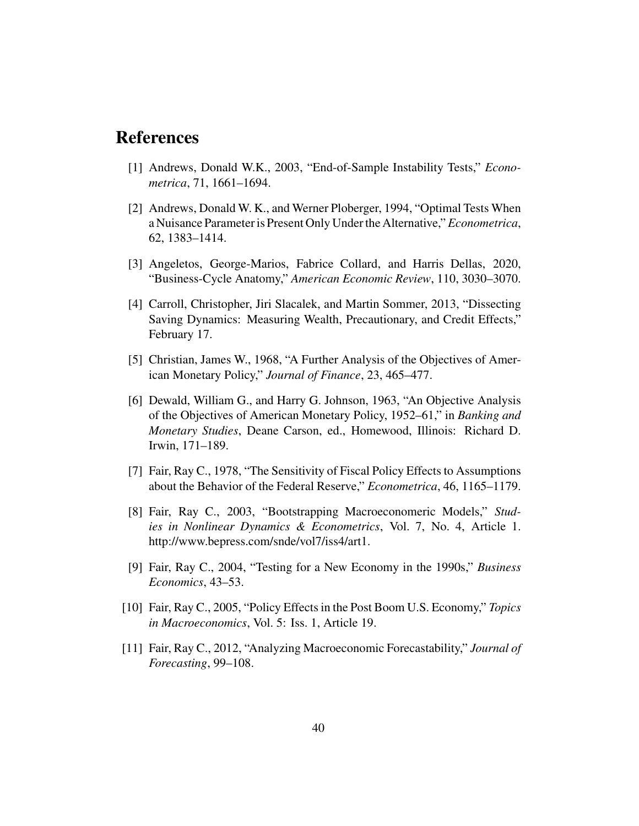### References

- [1] Andrews, Donald W.K., 2003, "End-of-Sample Instability Tests," *Econometrica*, 71, 1661–1694.
- [2] Andrews, Donald W. K., and Werner Ploberger, 1994, "Optimal Tests When a Nuisance Parameter is Present Only Under the Alternative," *Econometrica*, 62, 1383–1414.
- [3] Angeletos, George-Marios, Fabrice Collard, and Harris Dellas, 2020, "Business-Cycle Anatomy," *American Economic Review*, 110, 3030–3070.
- [4] Carroll, Christopher, Jiri Slacalek, and Martin Sommer, 2013, "Dissecting Saving Dynamics: Measuring Wealth, Precautionary, and Credit Effects," February 17.
- [5] Christian, James W., 1968, "A Further Analysis of the Objectives of American Monetary Policy," *Journal of Finance*, 23, 465–477.
- [6] Dewald, William G., and Harry G. Johnson, 1963, "An Objective Analysis of the Objectives of American Monetary Policy, 1952–61," in *Banking and Monetary Studies*, Deane Carson, ed., Homewood, Illinois: Richard D. Irwin, 171–189.
- [7] Fair, Ray C., 1978, "The Sensitivity of Fiscal Policy Effects to Assumptions about the Behavior of the Federal Reserve," *Econometrica*, 46, 1165–1179.
- [8] Fair, Ray C., 2003, "Bootstrapping Macroeconomeric Models," *Studies in Nonlinear Dynamics & Econometrics*, Vol. 7, No. 4, Article 1. http://www.bepress.com/snde/vol7/iss4/art1.
- [9] Fair, Ray C., 2004, "Testing for a New Economy in the 1990s," *Business Economics*, 43–53.
- [10] Fair, Ray C., 2005, "Policy Effects in the Post Boom U.S. Economy," *Topics in Macroeconomics*, Vol. 5: Iss. 1, Article 19.
- [11] Fair, Ray C., 2012, "Analyzing Macroeconomic Forecastability," *Journal of Forecasting*, 99–108.